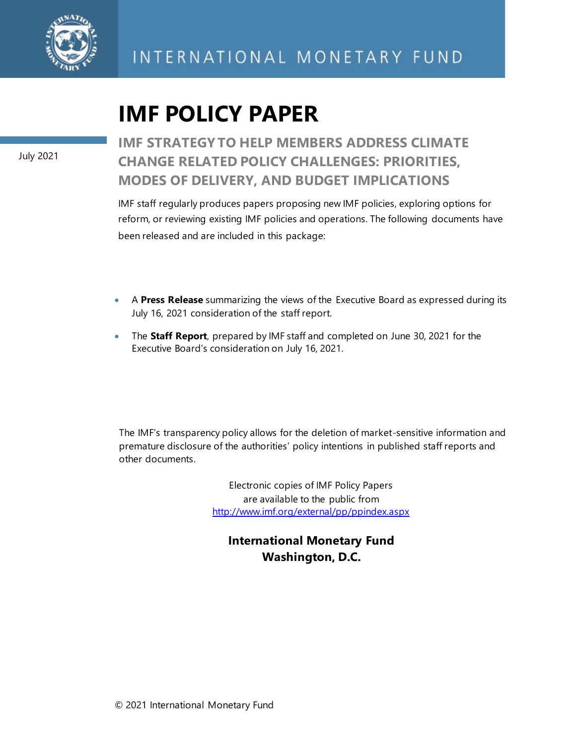

# **IMF POLICY PAPER**

July 2021

**IMF STRATEGY TO HELP MEMBERS ADDRESS CLIMATE CHANGE RELATED POLICY CHALLENGES: PRIORITIES, MODES OF DELIVERY, AND BUDGET IMPLICATIONS**

IMF staff regularly produces papers proposing new IMF policies, exploring options for reform, or reviewing existing IMF policies and operations. The following documents have been released and are included in this package:

- A **Press Release** summarizing the views of the Executive Board as expressed during its July 16, 2021 consideration of the staff report.
- The **Staff Report**, prepared by IMF staff and completed on June 30, 2021 for the Executive Board's consideration on July 16, 2021.

The IMF's transparency policy allows for the deletion of market-sensitive information and premature disclosure of the authorities' policy intentions in published staff reports and other documents.

> Electronic copies of IMF Policy Papers are available to the public from <http://www.imf.org/external/pp/ppindex.aspx>

**International Monetary Fund Washington, D.C.**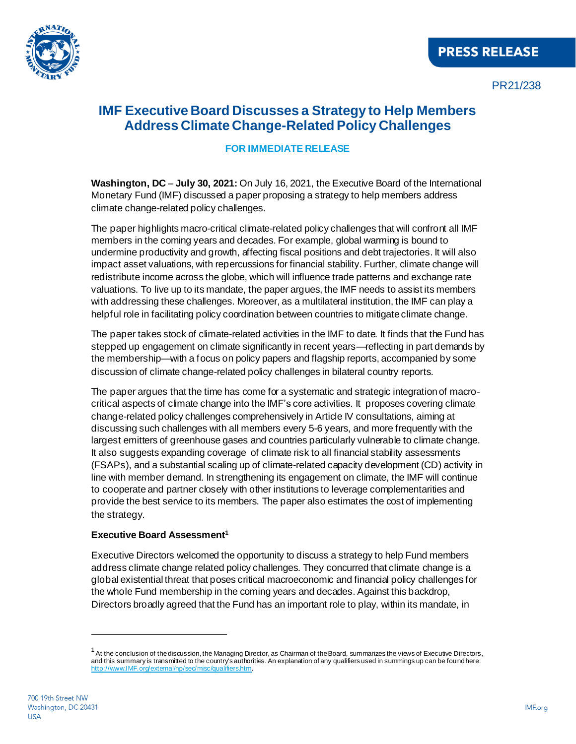

PR21/238

## **IMF Executive Board Discusses a Strategy to Help Members Address Climate Change-Related Policy Challenges**

#### **FOR IMMEDIATE RELEASE**

**Washington, DC** – **July 30, 2021:** On July 16, 2021, the Executive Board of the International Monetary Fund (IMF) discussed a paper proposing a strategy to help members address climate change-related policy challenges.

The paper highlights macro-critical climate-related policy challenges that will confront all IMF members in the coming years and decades. For example, global warming is bound to undermine productivity and growth, affecting fiscal positions and debt trajectories. It will also impact asset valuations, with repercussions for financial stability. Further, climate change will redistribute income across the globe, which will influence trade patterns and exchange rate valuations. To live up to its mandate, the paper argues, the IMF needs to assist its members with addressing these challenges. Moreover, as a multilateral institution, the IMF can play a helpful role in facilitating policy coordination between countries to mitigate climate change.

The paper takes stock of climate-related activities in the IMF to date. It finds that the Fund has stepped up engagement on climate significantly in recent years—reflecting in part demands by the membership—with a focus on policy papers and flagship reports, accompanied by some discussion of climate change-related policy challenges in bilateral country reports.

The paper argues that the time has come for a systematic and strategic integration of macrocritical aspects of climate change into the IMF's core activities. It proposes covering climate change-related policy challenges comprehensively in Article IV consultations, aiming at discussing such challenges with all members every 5-6 years, and more frequently with the largest emitters of greenhouse gases and countries particularly vulnerable to climate change. It also suggests expanding coverage of climate risk to all financial stability assessments (FSAPs), and a substantial scaling up of climate-related capacity development (CD) activity in line with member demand. In strengthening its engagement on climate, the IMF will continue to cooperate and partner closely with other institutions to leverage complementarities and provide the best service to its members. The paper also estimates the cost of implementing the strategy.

#### **Executive Board Assessment<sup>1</sup>**

Executive Directors welcomed the opportunity to discuss a strategy to help Fund members address climate change related policy challenges. They concurred that climate change is a global existential threat that poses critical macroeconomic and financial policy challenges for the whole Fund membership in the coming years and decades. Against this backdrop, Directors broadly agreed that the Fund has an important role to play, within its mandate, in

<sup>&</sup>lt;sup>1</sup> At the conclusion of the discussion, the Managing Director, as Chairman of the Board, summarizes the views of Executive Directors, and this summary is transmitted to the country's authorities. An explanation of any qualifiers used in summings up can be found here: http://www.IMF.org/external/np/s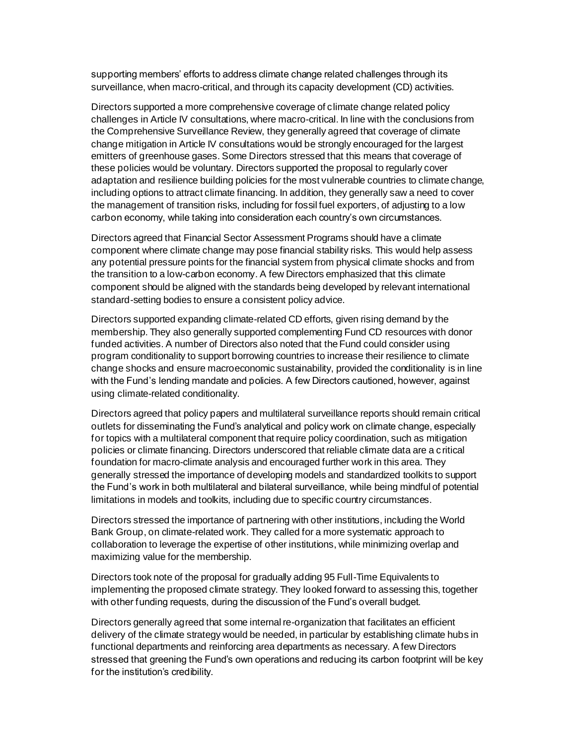supporting members' efforts to address climate change related challenges through its surveillance, when macro-critical, and through its capacity development (CD) activities.

Directors supported a more comprehensive coverage of climate change related policy challenges in Article IV consultations, where macro-critical. In line with the conclusions from the Comprehensive Surveillance Review, they generally agreed that coverage of climate change mitigation in Article IV consultations would be strongly encouraged for the largest emitters of greenhouse gases. Some Directors stressed that this means that coverage of these policies would be voluntary. Directors supported the proposal to regularly cover adaptation and resilience building policies for the most vulnerable countries to climate change, including options to attract climate financing. In addition, they generally saw a need to cover the management of transition risks, including for fossil fuel exporters, of adjusting to a low carbon economy, while taking into consideration each country's own circumstances.

Directors agreed that Financial Sector Assessment Programs should have a climate component where climate change may pose financial stability risks. This would help assess any potential pressure points for the financial system from physical climate shocks and from the transition to a low-carbon economy. A few Directors emphasized that this climate component should be aligned with the standards being developed by relevant international standard-setting bodies to ensure a consistent policy advice.

Directors supported expanding climate-related CD efforts, given rising demand by the membership. They also generally supported complementing Fund CD resources with donor funded activities. A number of Directors also noted that the Fund could consider using program conditionality to support borrowing countries to increase their resilience to climate change shocks and ensure macroeconomic sustainability, provided the conditionality is in line with the Fund's lending mandate and policies. A few Directors cautioned, however, against using climate-related conditionality.

Directors agreed that policy papers and multilateral surveillance reports should remain critical outlets for disseminating the Fund's analytical and policy work on climate change, especially for topics with a multilateral component that require policy coordination, such as mitigation policies or climate financing. Directors underscored that reliable climate data are a critical foundation for macro-climate analysis and encouraged further work in this area. They generally stressed the importance of developing models and standardized toolkits to support the Fund's work in both multilateral and bilateral surveillance, while being mindful of potential limitations in models and toolkits, including due to specific country circumstances.

Directors stressed the importance of partnering with other institutions, including the World Bank Group, on climate-related work. They called for a more systematic approach to collaboration to leverage the expertise of other institutions, while minimizing overlap and maximizing value for the membership.

Directors took note of the proposal for gradually adding 95 Full-Time Equivalents to implementing the proposed climate strategy. They looked forward to assessing this, together with other funding requests, during the discussion of the Fund's overall budget.

Directors generally agreed that some internal re-organization that facilitates an efficient delivery of the climate strategy would be needed, in particular by establishing climate hubs in functional departments and reinforcing area departments as necessary. A few Directors stressed that greening the Fund's own operations and reducing its carbon footprint will be key for the institution's credibility.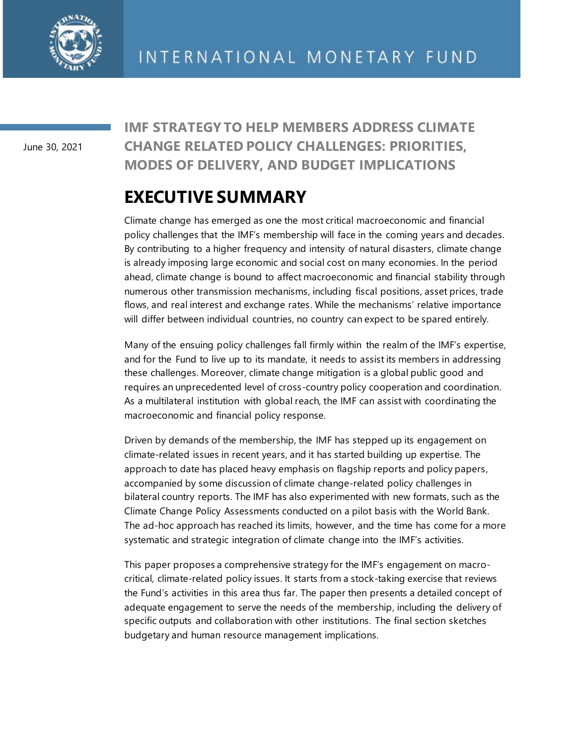

June 30, 2021

**IMF STRATEGY TO HELP MEMBERS ADDRESS CLIMATE CHANGE RELATED POLICY CHALLENGES: PRIORITIES, MODES OF DELIVERY, AND BUDGET IMPLICATIONS**

## **EXECUTIVE SUMMARY**

Climate change has emerged as one the most critical macroeconomic and financial policy challenges that the IMF's membership will face in the coming years and decades. By contributing to a higher frequency and intensity of natural disasters, climate change is already imposing large economic and social cost on many economies. In the period ahead, climate change is bound to affect macroeconomic and financial stability through numerous other transmission mechanisms, including fiscal positions, asset prices, trade flows, and real interest and exchange rates. While the mechanisms' relative importance will differ between individual countries, no country can expect to be spared entirely.

Many of the ensuing policy challenges fall firmly within the realm of the IMF's expertise, and for the Fund to live up to its mandate, it needs to assist its members in addressing these challenges. Moreover, climate change mitigation is a global public good and requires an unprecedented level of cross-country policy cooperation and coordination. As a multilateral institution with global reach, the IMF can assist with coordinating the macroeconomic and financial policy response.

Driven by demands of the membership, the IMF has stepped up its engagement on climate-related issues in recent years, and it has started building up expertise. The approach to date has placed heavy emphasis on flagship reports and policy papers, accompanied by some discussion of climate change-related policy challenges in bilateral country reports. The IMF has also experimented with new formats, such as the Climate Change Policy Assessments conducted on a pilot basis with the World Bank. The ad-hoc approach has reached its limits, however, and the time has come for a more systematic and strategic integration of climate change into the IMF's activities.

This paper proposes a comprehensive strategy for the IMF's engagement on macrocritical, climate-related policy issues. It starts from a stock-taking exercise that reviews the Fund's activities in this area thus far. The paper then presents a detailed concept of adequate engagement to serve the needs of the membership, including the delivery of specific outputs and collaboration with other institutions. The final section sketches budgetary and human resource management implications.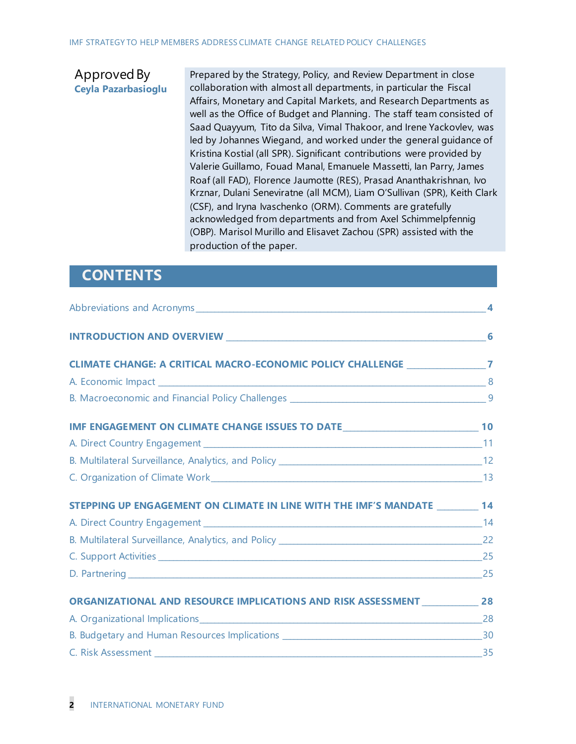#### Approved By **Ceyla Pazarbasioglu**

Prepared by the Strategy, Policy, and Review Department in close collaboration with almost all departments, in particular the Fiscal Affairs, Monetary and Capital Markets, and Research Departments as well as the Office of Budget and Planning. The staff team consisted of Saad Quayyum, Tito da Silva, Vimal Thakoor, and Irene Yackovlev, was led by Johannes Wiegand, and worked under the general guidance of Kristina Kostial (all SPR). Significant contributions were provided by Valerie Guillamo, Fouad Manal, Emanuele Massetti, Ian Parry, James Roaf (all FAD), Florence Jaumotte (RES), Prasad Ananthakrishnan, Ivo Krznar, Dulani Seneviratne (all MCM), Liam O'Sullivan (SPR), Keith Clark (CSF), and Iryna Ivaschenko (ORM). Comments are gratefully acknowledged from departments and from Axel Schimmelpfennig (OBP). Marisol Murillo and Elisavet Zachou (SPR) assisted with the production of the paper.

## **CONTENTS**

|                                                                                      | $\overline{\bf{4}}$ |
|--------------------------------------------------------------------------------------|---------------------|
|                                                                                      |                     |
| CLIMATE CHANGE: A CRITICAL MACRO-ECONOMIC POLICY CHALLENGE 7                         |                     |
|                                                                                      |                     |
|                                                                                      |                     |
| IMF ENGAGEMENT ON CLIMATE CHANGE ISSUES TO DATE _________________________________ 10 |                     |
|                                                                                      |                     |
|                                                                                      |                     |
|                                                                                      |                     |
| STEPPING UP ENGAGEMENT ON CLIMATE IN LINE WITH THE IMF'S MANDATE ________ 14         |                     |
|                                                                                      |                     |
|                                                                                      |                     |
|                                                                                      |                     |
|                                                                                      |                     |
| ORGANIZATIONAL AND RESOURCE IMPLICATIONS AND RISK ASSESSMENT 28                      |                     |
|                                                                                      |                     |
|                                                                                      |                     |
| C. Risk Assessment 35                                                                |                     |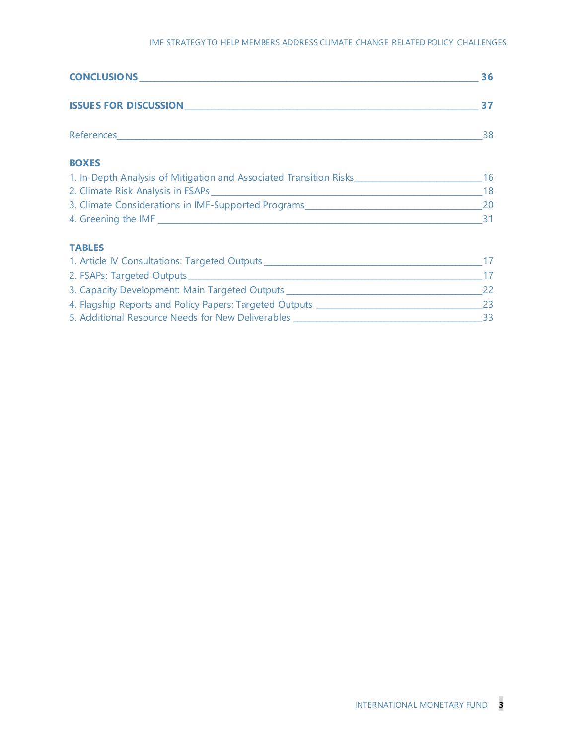#### IMF STRATEGY TO HELP MEMBERS ADDRESS CLIMATE CHANGE RELATED POLICY CHALLENGES

|                                                                                                      | 36 |
|------------------------------------------------------------------------------------------------------|----|
|                                                                                                      | 37 |
|                                                                                                      |    |
| <b>BOXES</b>                                                                                         |    |
| 1. In-Depth Analysis of Mitigation and Associated Transition Risks__________________________________ | 16 |
|                                                                                                      | 18 |
|                                                                                                      |    |
|                                                                                                      |    |
| <b>TABLES</b>                                                                                        |    |
|                                                                                                      |    |
|                                                                                                      | 17 |
| 3. Capacity Development: Main Targeted Outputs _________________________________                     | 22 |
| 4. Flagship Reports and Policy Papers: Targeted Outputs _________________________                    | 23 |
|                                                                                                      |    |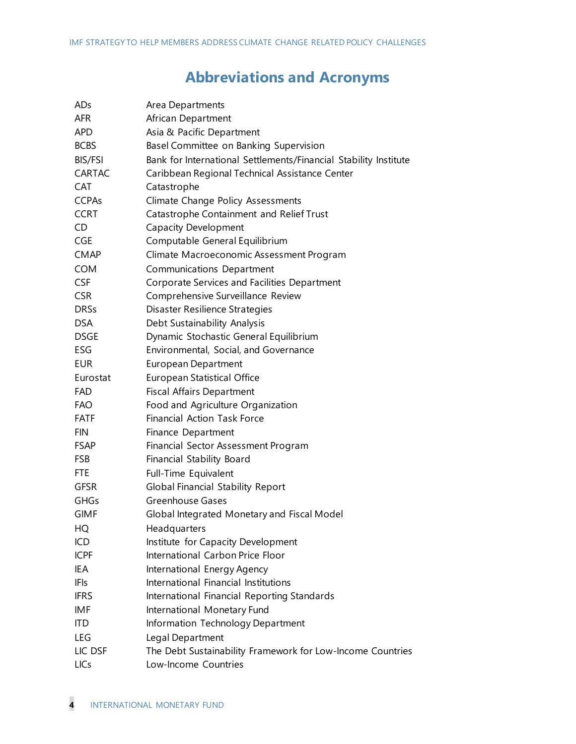## **Abbreviations and Acronyms**

| ADs            | Area Departments                                                 |
|----------------|------------------------------------------------------------------|
| <b>AFR</b>     | African Department                                               |
| APD            | Asia & Pacific Department                                        |
| <b>BCBS</b>    | Basel Committee on Banking Supervision                           |
| <b>BIS/FSI</b> | Bank for International Settlements/Financial Stability Institute |
| CARTAC         | Caribbean Regional Technical Assistance Center                   |
| <b>CAT</b>     | Catastrophe                                                      |
| <b>CCPAs</b>   | Climate Change Policy Assessments                                |
| <b>CCRT</b>    | Catastrophe Containment and Relief Trust                         |
| CD             | <b>Capacity Development</b>                                      |
| <b>CGE</b>     | Computable General Equilibrium                                   |
| <b>CMAP</b>    | Climate Macroeconomic Assessment Program                         |
| <b>COM</b>     | Communications Department                                        |
| <b>CSF</b>     | Corporate Services and Facilities Department                     |
| <b>CSR</b>     | Comprehensive Surveillance Review                                |
| <b>DRSs</b>    | Disaster Resilience Strategies                                   |
| <b>DSA</b>     | Debt Sustainability Analysis                                     |
| <b>DSGE</b>    | Dynamic Stochastic General Equilibrium                           |
| ESG            | Environmental, Social, and Governance                            |
| <b>EUR</b>     | <b>European Department</b>                                       |
| Eurostat       | European Statistical Office                                      |
| <b>FAD</b>     | <b>Fiscal Affairs Department</b>                                 |
| <b>FAO</b>     | Food and Agriculture Organization                                |
| <b>FATF</b>    | <b>Financial Action Task Force</b>                               |
| <b>FIN</b>     | Finance Department                                               |
| <b>FSAP</b>    | Financial Sector Assessment Program                              |
| <b>FSB</b>     | <b>Financial Stability Board</b>                                 |
| <b>FTE</b>     | Full-Time Equivalent                                             |
| <b>GFSR</b>    | <b>Global Financial Stability Report</b>                         |
| <b>GHGs</b>    | Greenhouse Gases                                                 |
| <b>GIMF</b>    | Global Integrated Monetary and Fiscal Model                      |
| HQ             | Headquarters                                                     |
| ICD            | Institute for Capacity Development                               |
| <b>ICPF</b>    | International Carbon Price Floor                                 |
| IEA            | International Energy Agency                                      |
| <b>IFIs</b>    | International Financial Institutions                             |
| <b>IFRS</b>    | International Financial Reporting Standards                      |
| IMF            | International Monetary Fund                                      |
| <b>ITD</b>     | Information Technology Department                                |
| LEG            | Legal Department                                                 |
| LIC DSF        | The Debt Sustainability Framework for Low-Income Countries       |
| LICs           | Low-Income Countries                                             |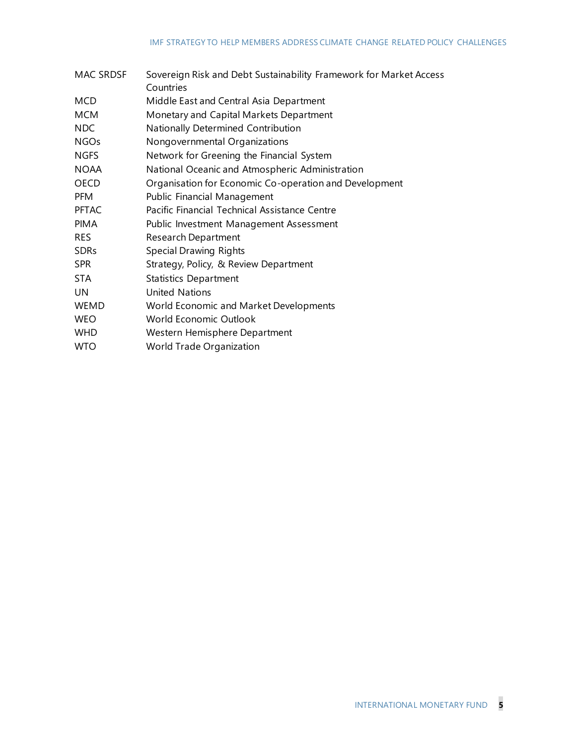| MAC SRDSF    | Sovereign Risk and Debt Sustainability Framework for Market Access |
|--------------|--------------------------------------------------------------------|
|              | Countries                                                          |
| <b>MCD</b>   | Middle East and Central Asia Department                            |
| <b>MCM</b>   | Monetary and Capital Markets Department                            |
| NDC          | Nationally Determined Contribution                                 |
| <b>NGOs</b>  | Nongovernmental Organizations                                      |
| <b>NGFS</b>  | Network for Greening the Financial System                          |
| <b>NOAA</b>  | National Oceanic and Atmospheric Administration                    |
| <b>OECD</b>  | Organisation for Economic Co-operation and Development             |
| <b>PFM</b>   | Public Financial Management                                        |
| <b>PFTAC</b> | Pacific Financial Technical Assistance Centre                      |
| <b>PIMA</b>  | Public Investment Management Assessment                            |
| <b>RES</b>   | <b>Research Department</b>                                         |
| <b>SDRs</b>  | Special Drawing Rights                                             |
| <b>SPR</b>   | Strategy, Policy, & Review Department                              |
| <b>STA</b>   | <b>Statistics Department</b>                                       |
| <b>UN</b>    | <b>United Nations</b>                                              |
| <b>WEMD</b>  | World Economic and Market Developments                             |
| <b>WEO</b>   | World Economic Outlook                                             |
| <b>WHD</b>   | Western Hemisphere Department                                      |
| <b>WTO</b>   | World Trade Organization                                           |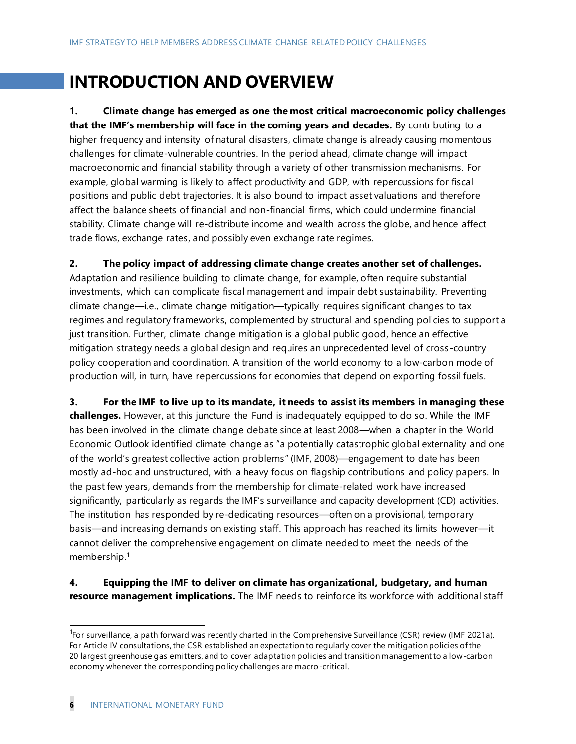## **INTRODUCTION AND OVERVIEW**

**1. Climate change has emerged as one the most critical macroeconomic policy challenges that the IMF's membership will face in the coming years and decades.** By contributing to a higher frequency and intensity of natural disasters, climate change is already causing momentous challenges for climate-vulnerable countries. In the period ahead, climate change will impact macroeconomic and financial stability through a variety of other transmission mechanisms. For example, global warming is likely to affect productivity and GDP, with repercussions for fiscal positions and public debt trajectories. It is also bound to impact asset valuations and therefore affect the balance sheets of financial and non-financial firms, which could undermine financial stability. Climate change will re-distribute income and wealth across the globe, and hence affect trade flows, exchange rates, and possibly even exchange rate regimes.

**2. The policy impact of addressing climate change creates another set of challenges.**  Adaptation and resilience building to climate change, for example, often require substantial investments, which can complicate fiscal management and impair debt sustainability. Preventing climate change—i.e., climate change mitigation—typically requires significant changes to tax regimes and regulatory frameworks, complemented by structural and spending policies to support a just transition. Further, climate change mitigation is a global public good, hence an effective mitigation strategy needs a global design and requires an unprecedented level of cross-country policy cooperation and coordination. A transition of the world economy to a low-carbon mode of production will, in turn, have repercussions for economies that depend on exporting fossil fuels.

**3. For the IMF to live up to its mandate, it needs to assist its members in managing these challenges.** However, at this juncture the Fund is inadequately equipped to do so. While the IMF has been involved in the climate change debate since at least 2008—when a chapter in the World Economic Outlook identified climate change as "a potentially catastrophic global externality and one of the world's greatest collective action problems" (IMF, 2008)—engagement to date has been mostly ad-hoc and unstructured, with a heavy focus on flagship contributions and policy papers. In the past few years, demands from the membership for climate-related work have increased significantly, particularly as regards the IMF's surveillance and capacity development (CD) activities. The institution has responded by re-dedicating resources—often on a provisional, temporary basis—and increasing demands on existing staff. This approach has reached its limits however—it cannot deliver the comprehensive engagement on climate needed to meet the needs of the membership.<sup>1</sup>

**4. Equipping the IMF to deliver on climate has organizational, budgetary, and human resource management implications.** The IMF needs to reinforce its workforce with additional staff

<sup>&</sup>lt;sup>1</sup>For surveillance, a path forward was recently charted in the Comprehensive Surveillance (CSR) review (IMF 2021a). For Article IV consultations, the CSR established an expectation to regularly cover the mitigation policies of the 20 largest greenhouse gas emitters, and to cover adaptation policies and transition management to a low-carbon economy whenever the corresponding policy challenges are macro-critical.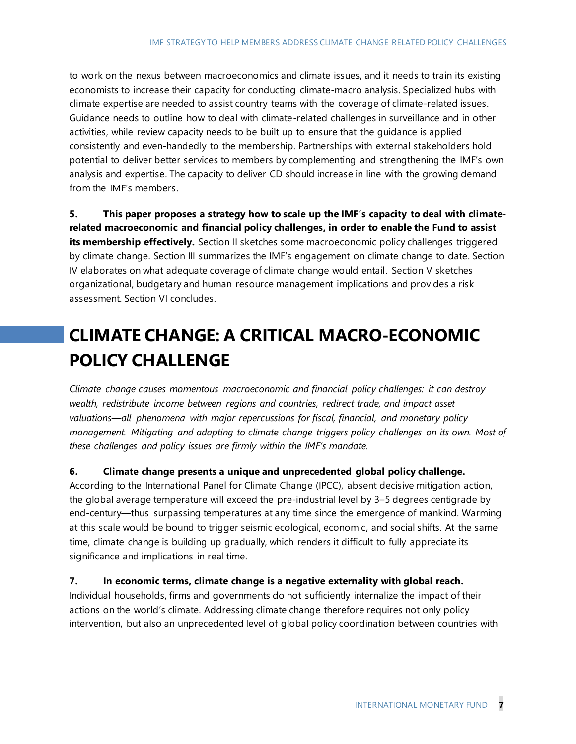to work on the nexus between macroeconomics and climate issues, and it needs to train its existing economists to increase their capacity for conducting climate-macro analysis. Specialized hubs with climate expertise are needed to assist country teams with the coverage of climate-related issues. Guidance needs to outline how to deal with climate-related challenges in surveillance and in other activities, while review capacity needs to be built up to ensure that the guidance is applied consistently and even-handedly to the membership. Partnerships with external stakeholders hold potential to deliver better services to members by complementing and strengthening the IMF's own analysis and expertise. The capacity to deliver CD should increase in line with the growing demand from the IMF's members.

**5. This paper proposes a strategy how to scale up the IMF's capacity to deal with climaterelated macroeconomic and financial policy challenges, in order to enable the Fund to assist its membership effectively.** Section II sketches some macroeconomic policy challenges triggered by climate change. Section III summarizes the IMF's engagement on climate change to date. Section IV elaborates on what adequate coverage of climate change would entail. Section V sketches organizational, budgetary and human resource management implications and provides a risk assessment. Section VI concludes.

## **CLIMATE CHANGE: A CRITICAL MACRO-ECONOMIC POLICY CHALLENGE**

*Climate change causes momentous macroeconomic and financial policy challenges: it can destroy wealth, redistribute income between regions and countries, redirect trade, and impact asset valuations—all phenomena with major repercussions for fiscal, financial, and monetary policy management. Mitigating and adapting to climate change triggers policy challenges on its own. Most of these challenges and policy issues are firmly within the IMF's mandate.*

#### **6. Climate change presents a unique and unprecedented global policy challenge.**

According to the International Panel for Climate Change (IPCC), absent decisive mitigation action, the global average temperature will exceed the pre-industrial level by 3–5 degrees centigrade by end-century—thus surpassing temperatures at any time since the emergence of mankind. Warming at this scale would be bound to trigger seismic ecological, economic, and social shifts. At the same time, climate change is building up gradually, which renders it difficult to fully appreciate its significance and implications in real time.

#### **7. In economic terms, climate change is a negative externality with global reach.**

Individual households, firms and governments do not sufficiently internalize the impact of their actions on the world's climate. Addressing climate change therefore requires not only policy intervention, but also an unprecedented level of global policy coordination between countries with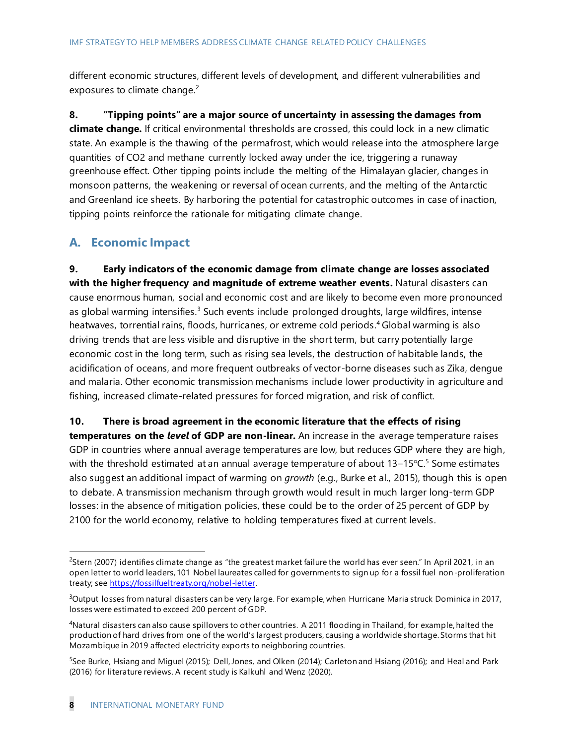different economic structures, different levels of development, and different vulnerabilities and exposures to climate change.<sup>2</sup>

**8. "Tipping points" are a major source of uncertainty in assessing the damages from climate change.** If critical environmental thresholds are crossed, this could lock in a new climatic state. An example is the thawing of the permafrost, which would release into the atmosphere large quantities of CO2 and methane currently locked away under the ice, triggering a runaway greenhouse effect. Other tipping points include the melting of the Himalayan glacier, changes in monsoon patterns, the weakening or reversal of ocean currents, and the melting of the Antarctic and Greenland ice sheets. By harboring the potential for catastrophic outcomes in case of inaction, tipping points reinforce the rationale for mitigating climate change.

### **A. Economic Impact**

**9. Early indicators of the economic damage from climate change are losses associated with the higher frequency and magnitude of extreme weather events.** Natural disasters can cause enormous human, social and economic cost and are likely to become even more pronounced as global warming intensifies.<sup>3</sup> Such events include prolonged droughts, large wildfires, intense heatwaves, torrential rains, floods, hurricanes, or extreme cold periods. <sup>4</sup> Global warming is also driving trends that are less visible and disruptive in the short term, but carry potentially large economic cost in the long term, such as rising sea levels, the destruction of habitable lands, the acidification of oceans, and more frequent outbreaks of vector-borne diseases such as Zika, dengue and malaria. Other economic transmission mechanisms include lower productivity in agriculture and fishing, increased climate-related pressures for forced migration, and risk of conflict.

**10. There is broad agreement in the economic literature that the effects of rising temperatures on the** *level* **of GDP are non-linear.** An increase in the average temperature raises GDP in countries where annual average temperatures are low, but reduces GDP where they are high, with the threshold estimated at an annual average temperature of about  $13-15\degree$ C.<sup>5</sup> Some estimates also suggest an additional impact of warming on *growth* (e.g., Burke et al., 2015), though this is open to debate. A transmission mechanism through growth would result in much larger long-term GDP losses: in the absence of mitigation policies, these could be to the order of 25 percent of GDP by 2100 for the world economy, relative to holding temperatures fixed at current levels.

 $<sup>2</sup>$ Stern (2007) identifies climate change as "the greatest market failure the world has ever seen." In April 2021, in an</sup> open letter to world leaders, 101 Nobel laureates called for governments to sign up for a fossil fuel non-proliferation treaty; se[e https://fossilfueltreaty.org/nobel-letter.](https://fossilfueltreaty.org/nobel-letter)

<sup>&</sup>lt;sup>3</sup>Output losses from natural disasters can be very large. For example, when Hurricane Maria struck Dominica in 2017, losses were estimated to exceed 200 percent of GDP.

<sup>4</sup>Natural disasters can also cause spillovers to other countries. A 2011 flooding in Thailand, for example, halted the production of hard drives from one of the world's largest producers, causing a worldwide shortage. Storms that hit Mozambique in 2019 affected electricity exports to neighboring countries.

<sup>&</sup>lt;sup>5</sup>See Burke, Hsiang and Miguel (2015); Dell, Jones, and Olken (2014); Carleton and Hsiang (2016); and Heal and Park (2016) for literature reviews. A recent study is Kalkuhl and Wenz (2020).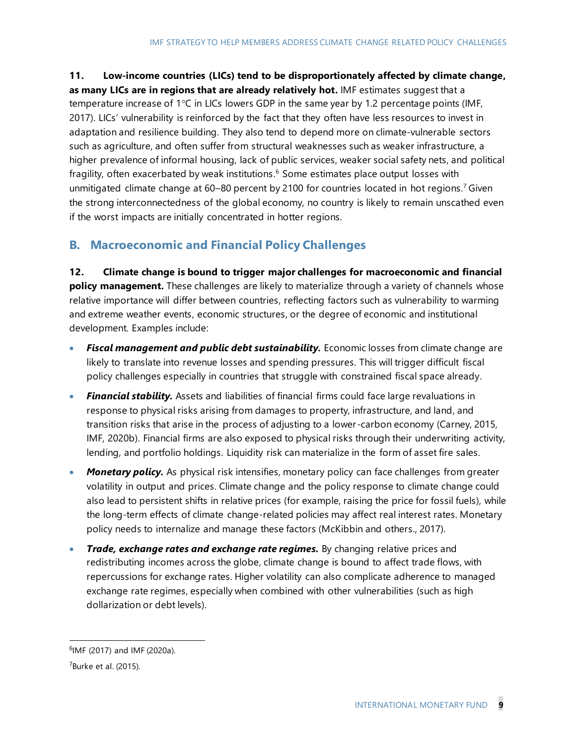**11. Low-income countries (LICs) tend to be disproportionately affected by climate change, as many LICs are in regions that are already relatively hot.** IMF estimates suggest that a temperature increase of  $1^{\circ}$ C in LICs lowers GDP in the same year by 1.2 percentage points (IMF, 2017). LICs' vulnerability is reinforced by the fact that they often have less resources to invest in adaptation and resilience building. They also tend to depend more on climate-vulnerable sectors such as agriculture, and often suffer from structural weaknesses such as weaker infrastructure, a higher prevalence of informal housing, lack of public services, weaker social safety nets, and political fragility, often exacerbated by weak institutions.<sup>6</sup> Some estimates place output losses with unmitigated climate change at 60–80 percent by 2100 for countries located in hot regions.<sup>7</sup> Given the strong interconnectedness of the global economy, no country is likely to remain unscathed even if the worst impacts are initially concentrated in hotter regions.

## **B. Macroeconomic and Financial Policy Challenges**

**12. Climate change is bound to trigger major challenges for macroeconomic and financial policy management.** These challenges are likely to materialize through a variety of channels whose relative importance will differ between countries, reflecting factors such as vulnerability to warming and extreme weather events, economic structures, or the degree of economic and institutional development. Examples include:

- *Fiscal management and public debt sustainability.* Economic losses from climate change are likely to translate into revenue losses and spending pressures. This will trigger difficult fiscal policy challenges especially in countries that struggle with constrained fiscal space already.
- *Financial stability.* Assets and liabilities of financial firms could face large revaluations in response to physical risks arising from damages to property, infrastructure, and land, and transition risks that arise in the process of adjusting to a lower -carbon economy (Carney, 2015, IMF, 2020b). Financial firms are also exposed to physical risks through their underwriting activity, lending, and portfolio holdings. Liquidity risk can materialize in the form of asset fire sales.
- *Monetary policy.* As physical risk intensifies, monetary policy can face challenges from greater volatility in output and prices. Climate change and the policy response to climate change could also lead to persistent shifts in relative prices (for example, raising the price for fossil fuels), while the long-term effects of climate change-related policies may affect real interest rates. Monetary policy needs to internalize and manage these factors (McKibbin and others., 2017).
- *Trade, exchange rates and exchange rate regimes.* By changing relative prices and redistributing incomes across the globe, climate change is bound to affect trade flows, with repercussions for exchange rates. Higher volatility can also complicate adherence to managed exchange rate regimes, especially when combined with other vulnerabilities (such as high dollarization or debt levels).

<sup>&</sup>lt;sup>6</sup>IMF (2017) and IMF (2020a).

 $7$ Burke et al. (2015).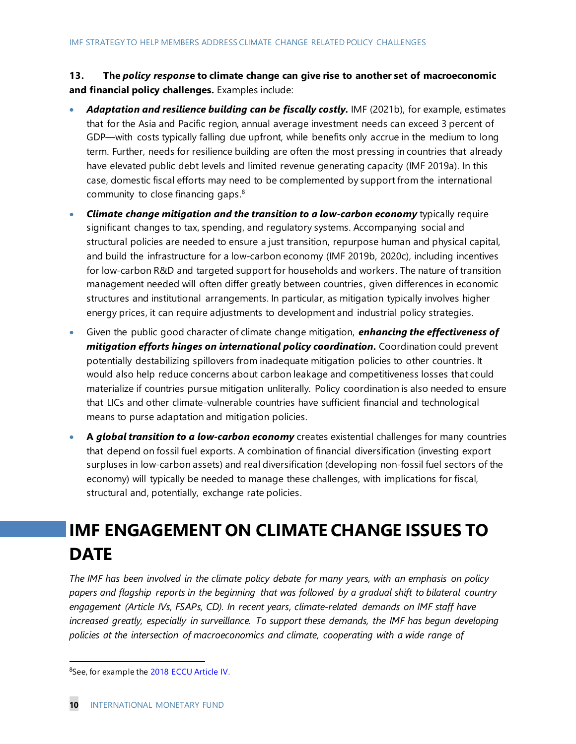**13. The** *policy respons***e to climate change can give rise to another set of macroeconomic and financial policy challenges.** Examples include:

- *Adaptation and resilience building can be fiscally costly.* IMF (2021b), for example, estimates that for the Asia and Pacific region, annual average investment needs can exceed 3 percent of GDP—with costs typically falling due upfront, while benefits only accrue in the medium to long term. Further, needs for resilience building are often the most pressing in countries that already have elevated public debt levels and limited revenue generating capacity (IMF 2019a). In this case, domestic fiscal efforts may need to be complemented by support from the international community to close financing gaps. $8$
- *Climate change mitigation and the transition to a low-carbon economy* typically require significant changes to tax, spending, and regulatory systems. Accompanying social and structural policies are needed to ensure a just transition, repurpose human and physical capital, and build the infrastructure for a low-carbon economy (IMF 2019b, 2020c), including incentives for low-carbon R&D and targeted support for households and workers . The nature of transition management needed will often differ greatly between countries , given differences in economic structures and institutional arrangements. In particular, as mitigation typically involves higher energy prices, it can require adjustments to development and industrial policy strategies.
- Given the public good character of climate change mitigation, *enhancing the effectiveness of mitigation efforts hinges on international policy coordination.* Coordination could prevent potentially destabilizing spillovers from inadequate mitigation policies to other countries. It would also help reduce concerns about carbon leakage and competitiveness losses that could materialize if countries pursue mitigation unliterally. Policy coordination is also needed to ensure that LICs and other climate-vulnerable countries have sufficient financial and technological means to purse adaptation and mitigation policies.
- **A** *global transition to a low-carbon economy* creates existential challenges for many countries that depend on fossil fuel exports. A combination of financial diversification (investing export surpluses in low-carbon assets) and real diversification (developing non-fossil fuel sectors of the economy) will typically be needed to manage these challenges, with implications for fiscal, structural and, potentially, exchange rate policies.

## **IMF ENGAGEMENT ON CLIMATE CHANGE ISSUES TO DATE**

*The IMF has been involved in the climate policy debate for many years, with an emphasis on policy papers and flagship reports in the beginning that was followed by a gradual shift to bilateral country engagement (Article IVs, FSAPs, CD). In recent years, climate-related demands on IMF staff have*  increased greatly, especially in surveillance. To support these demands, the IMF has begun developing *policies at the intersection of macroeconomics and climate, cooperating with a wide range of* 

<sup>&</sup>lt;sup>8</sup>See, for example the [2018 ECCU Article IV.](https://www.imf.org/en/Publications/CR/Issues/2019/02/22/Eastern-Caribbean-Currency-Union-2018-Discussion-on-Common-Policies-of-Member-Countries-46626)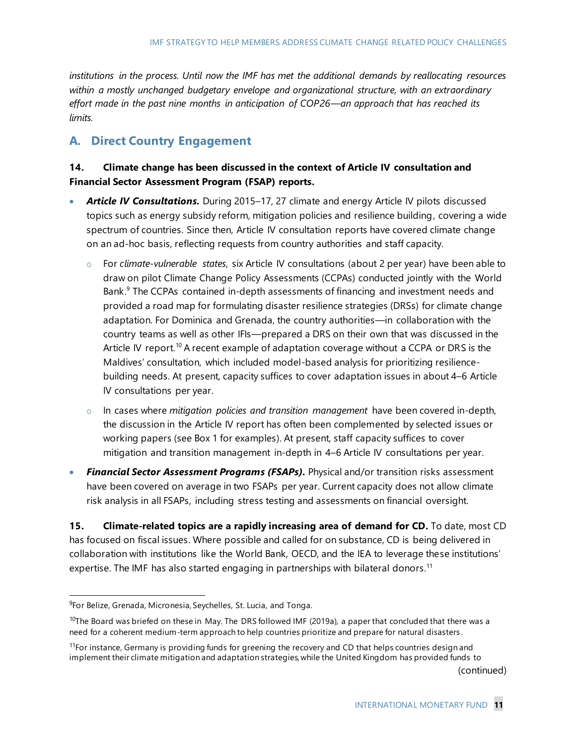*institutions in the process. Until now the IMF has met the additional demands by reallocating resources within a mostly unchanged budgetary envelope and organizational structure, with an extraordinary effort made in the past nine months in anticipation of COP26—an approach that has reached its limits.*

### **A. Direct Country Engagement**

#### **14. Climate change has been discussed in the context of Article IV consultation and Financial Sector Assessment Program (FSAP) reports.**

- Article IV Consultations. During 2015-17, 27 climate and energy Article IV pilots discussed topics such as energy subsidy reform, mitigation policies and resilience building, covering a wide spectrum of countries. Since then, Article IV consultation reports have covered climate change on an ad-hoc basis, reflecting requests from country authorities and staff capacity.
	- o For *climate-vulnerable states*, six Article IV consultations (about 2 per year) have been able to draw on pilot Climate Change Policy Assessments (CCPAs) conducted jointly with the World Bank.<sup>9</sup> The CCPAs contained in-depth assessments of financing and investment needs and provided a road map for formulating disaster resilience strategies (DRSs) for climate change adaptation. For Dominica and Grenada, the country authorities—in collaboration with the country teams as well as other IFIs—prepared a DRS on their own that was discussed in the Article IV report.<sup>10</sup> A recent example of adaptation coverage without a CCPA or DRS is the Maldives' consultation, which included model-based analysis for prioritizing resiliencebuilding needs. At present, capacity suffices to cover adaptation issues in about 4–6 Article IV consultations per year.
	- o In cases where *mitigation policies and transition management* have been covered in-depth, the discussion in the Article IV report has often been complemented by selected issues or working papers (see Box 1 for examples). At present, staff capacity suffices to cover mitigation and transition management in-depth in 4–6 Article IV consultations per year.
- *Financial Sector Assessment Programs (FSAPs).* Physical and/or transition risks assessment have been covered on average in two FSAPs per year. Current capacity does not allow climate risk analysis in all FSAPs, including stress testing and assessments on financial oversight.

**15. Climate-related topics are a rapidly increasing area of demand for CD.** To date, most CD has focused on fiscal issues. Where possible and called for on substance, CD is being delivered in collaboration with institutions like the World Bank, OECD, and the IEA to leverage these institutions' expertise. The IMF has also started engaging in partnerships with bilateral donors.<sup>11</sup>

(continued)

<sup>&</sup>lt;sup>9</sup>For Belize, Grenada, Micronesia, Seychelles, St. Lucia, and Tonga.

 $10$ The Board was briefed on these in May. The DRS followed IMF (2019a), a paper that concluded that there was a need for a coherent medium-term approach to help countries prioritize and prepare for natural disasters .

<sup>&</sup>lt;sup>11</sup>For instance, Germany is providing funds for greening the recovery and CD that helps countries design and implement their climate mitigation and adaptation strategies, while the United Kingdom has provided funds to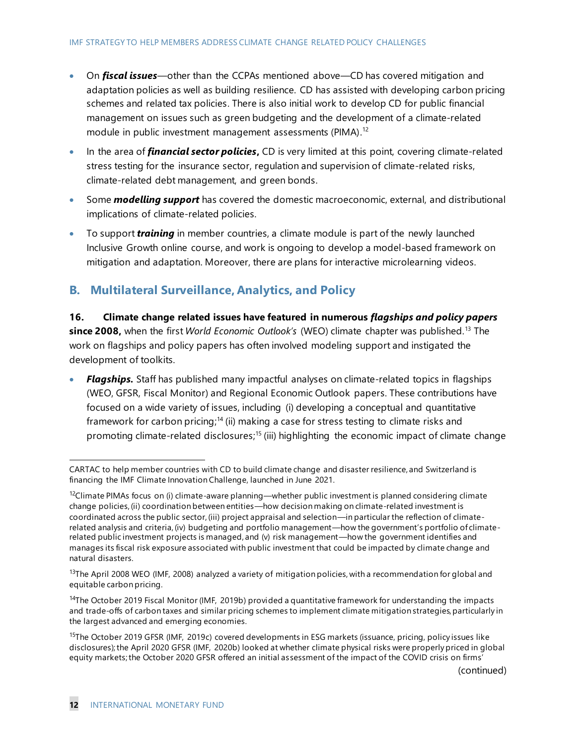- On *fiscal issues*—other than the CCPAs mentioned above—CD has covered mitigation and adaptation policies as well as building resilience. CD has assisted with developing carbon pricing schemes and related tax policies. There is also initial work to develop CD for public financial management on issues such as green budgeting and the development of a climate-related module in public investment management assessments (PIMA).<sup>12</sup>
- In the area of *financial sector policies***,** CD is very limited at this point, covering climate-related stress testing for the insurance sector, regulation and supervision of climate-related risks, climate-related debt management, and green bonds.
- Some *modelling support* has covered the domestic macroeconomic, external, and distributional implications of climate-related policies.
- To support *training* in member countries, a climate module is part of the newly launched Inclusive Growth online course, and work is ongoing to develop a model-based framework on mitigation and adaptation. Moreover, there are plans for interactive microlearning videos.

### **B. Multilateral Surveillance, Analytics, and Policy**

**16. Climate change related issues have featured in numerous** *flagships and policy papers*  **since 2008,** when the first *World Economic Outlook's* (WEO) climate chapter was published.<sup>13</sup> The work on flagships and policy papers has often involved modeling support and instigated the development of toolkits.

• *Flagships.* Staff has published many impactful analyses on climate-related topics in flagships (WEO, GFSR, Fiscal Monitor) and Regional Economic Outlook papers. These contributions have focused on a wide variety of issues, including (i) developing a conceptual and quantitative framework for carbon pricing;<sup>14</sup> (ii) making a case for stress testing to climate risks and promoting climate-related disclosures;<sup>15</sup> (iii) highlighting the economic impact of climate change

CARTAC to help member countries with CD to build climate change and disaster resilience, and Switzerland is financing the IMF Climate Innovation Challenge, launched in June 2021.

 $12$ Climate PIMAs focus on (i) climate-aware planning—whether public investment is planned considering climate change policies, (ii) coordination between entities—how decision making on climate-related investment is coordinated across the public sector, (iii) project appraisal and selection—in particular the reflection of climaterelated analysis and criteria, (iv) budgeting and portfolio management—how the government's portfolio of climaterelated public investment projects is managed, and (v) risk management—how the government identifies and manages its fiscal risk exposure associated with public investment that could be impacted by climate change and natural disasters.

 $13$ The April 2008 WEO (IMF, 2008) analyzed a variety of mitigation policies, with a recommendation for global and equitable carbon pricing.

<sup>&</sup>lt;sup>14</sup>The October 2019 Fiscal Monitor (IMF, 2019b) provided a quantitative framework for understanding the impacts and trade-offs of carbon taxes and similar pricing schemes to implement climate mitigation strategies, particularly in the largest advanced and emerging economies.

<sup>&</sup>lt;sup>15</sup>The October 2019 GFSR (IMF, 2019c) covered developments in ESG markets (issuance, pricing, policy issues like disclosures); the April 2020 GFSR (IMF, 2020b) looked at whether climate physical risks were properly priced in global equity markets; the October 2020 GFSR offered an initial as sessment of the impact of the COVID crisis on firms'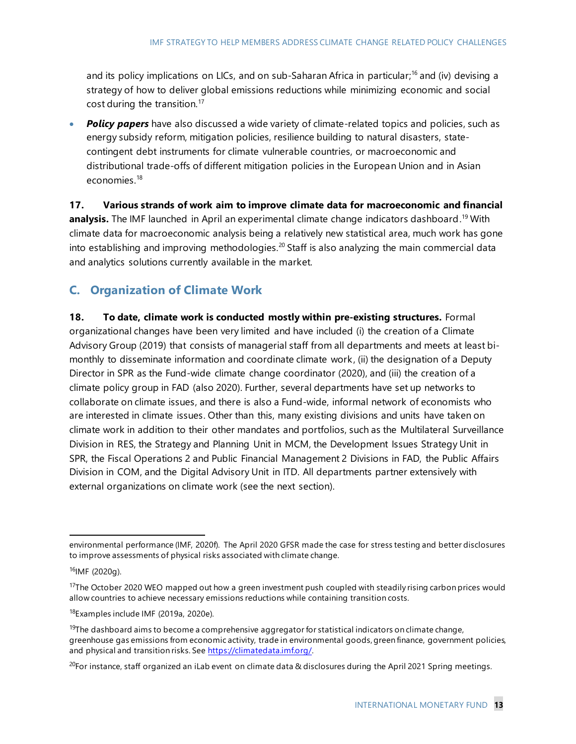and its policy implications on LICs, and on sub-Saharan Africa in particular;<sup>16</sup> and (iv) devising a strategy of how to deliver global emissions reductions while minimizing economic and social cost during the transition.<sup>17</sup>

• **Policy papers** have also discussed a wide variety of climate-related topics and policies, such as energy subsidy reform, mitigation policies, resilience building to natural disasters, statecontingent debt instruments for climate vulnerable countries, or macroeconomic and distributional trade-offs of different mitigation policies in the European Union and in Asian economies.<sup>18</sup>

**17. Various strands of work aim to improve climate data for macroeconomic and financial**  analysis. The IMF launched in April an experimental climate change indicators dashboard.<sup>19</sup> With climate data for macroeconomic analysis being a relatively new statistical area, much work has gone into establishing and improving methodologies.<sup>20</sup> Staff is also analyzing the main commercial data and analytics solutions currently available in the market.

## **C. Organization of Climate Work**

**18. To date, climate work is conducted mostly within pre-existing structures.** Formal organizational changes have been very limited and have included (i) the creation of a Climate Advisory Group (2019) that consists of managerial staff from all departments and meets at least bimonthly to disseminate information and coordinate climate work, (ii) the designation of a Deputy Director in SPR as the Fund-wide climate change coordinator (2020), and (iii) the creation of a climate policy group in FAD (also 2020). Further, several departments have set up networks to collaborate on climate issues, and there is also a Fund-wide, informal network of economists who are interested in climate issues. Other than this, many existing divisions and units have taken on climate work in addition to their other mandates and portfolios, such as the Multilateral Surveillance Division in RES, the Strategy and Planning Unit in MCM, the Development Issues Strategy Unit in SPR, the Fiscal Operations 2 and Public Financial Management 2 Divisions in FAD, the Public Affairs Division in COM, and the Digital Advisory Unit in ITD. All departments partner extensively with external organizations on climate work (see the next section).

environmental performance (IMF, 2020f). The April 2020 GFSR made the case for stress testing and better disclosures to improve assessments of physical risks associated with climate change.

<sup>16</sup>IMF (2020g).

<sup>&</sup>lt;sup>17</sup>The October 2020 WEO mapped out how a green investment push coupled with steadily rising carbon prices would allow countries to achieve necessary emissions reductions while containing transition costs.

<sup>18</sup>Examples include IMF (2019a, 2020e).

<sup>&</sup>lt;sup>19</sup>The dashboard aims to become a comprehensive aggregator for statistical indicators on climate change, greenhouse gas emissions from economic activity, trade in environmental goods, green finance, government policies, and physical and transition risks. See [https://climatedata.imf.org/.](https://climatedata.imf.org/)

 $^{20}$ For instance, staff organized an iLab event on climate data & disclosures during the April 2021 Spring meetings.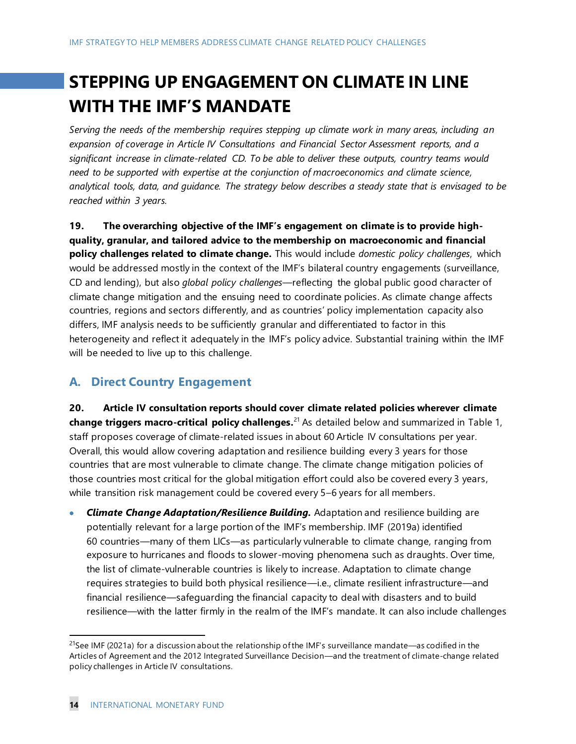## **STEPPING UP ENGAGEMENT ON CLIMATE IN LINE WITH THE IMF'S MANDATE**

*Serving the needs of the membership requires stepping up climate work in many areas, including an expansion of coverage in Article IV Consultations and Financial Sector Assessment reports, and a significant increase in climate-related CD. To be able to deliver these outputs, country teams would need to be supported with expertise at the conjunction of macroeconomics and climate science, analytical tools, data, and guidance. The strategy below describes a steady state that is envisaged to be reached within 3 years.*

**19. The overarching objective of the IMF's engagement on climate is to provide highquality, granular, and tailored advice to the membership on macroeconomic and financial policy challenges related to climate change.** This would include *domestic policy challenges*, which would be addressed mostly in the context of the IMF's bilateral country engagements (surveillance, CD and lending), but also *global policy challenges*—reflecting the global public good character of climate change mitigation and the ensuing need to coordinate policies. As climate change affects countries, regions and sectors differently, and as countries' policy implementation capacity also differs, IMF analysis needs to be sufficiently granular and differentiated to factor in this heterogeneity and reflect it adequately in the IMF's policy advice. Substantial training within the IMF will be needed to live up to this challenge.

### **A. Direct Country Engagement**

**20. Article IV consultation reports should cover climate related policies wherever climate change triggers macro-critical policy challenges.** <sup>21</sup> As detailed below and summarized in Table 1, staff proposes coverage of climate-related issues in about 60 Article IV consultations per year. Overall, this would allow covering adaptation and resilience building every 3 years for those countries that are most vulnerable to climate change. The climate change mitigation policies of those countries most critical for the global mitigation effort could also be covered every 3 years, while transition risk management could be covered every 5–6 years for all members.

• *Climate Change Adaptation/Resilience Building.* Adaptation and resilience building are potentially relevant for a large portion of the IMF's membership. IMF (2019a) identified 60 countries—many of them LICs—as particularly vulnerable to climate change, ranging from exposure to hurricanes and floods to slower-moving phenomena such as draughts. Over time, the list of climate-vulnerable countries is likely to increase. Adaptation to climate change requires strategies to build both physical resilience—i.e., climate resilient infrastructure—and financial resilience—safeguarding the financial capacity to deal with disasters and to build resilience—with the latter firmly in the realm of the IMF's mandate. It can also include challenges

<sup>&</sup>lt;sup>21</sup>See IMF (2021a) for a discussion about the relationship of the IMF's surveillance mandate—as codified in the Articles of Agreement and the 2012 Integrated Surveillance Decision—and the treatment of climate-change related policy challenges in Article IV consultations.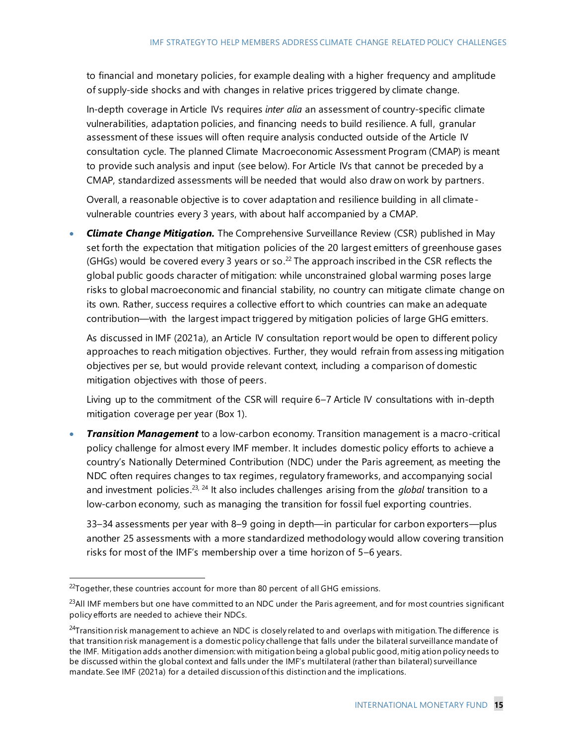to financial and monetary policies, for example dealing with a higher frequency and amplitude of supply-side shocks and with changes in relative prices triggered by climate change.

In-depth coverage in Article IVs requires *inter alia* an assessment of country-specific climate vulnerabilities, adaptation policies, and financing needs to build resilience. A full, granular assessment of these issues will often require analysis conducted outside of the Article IV consultation cycle. The planned Climate Macroeconomic Assessment Program (CMAP) is meant to provide such analysis and input (see below). For Article IVs that cannot be preceded by a CMAP, standardized assessments will be needed that would also draw on work by partners.

Overall, a reasonable objective is to cover adaptation and resilience building in all climatevulnerable countries every 3 years, with about half accompanied by a CMAP.

• *Climate Change Mitigation.* The Comprehensive Surveillance Review (CSR) published in May set forth the expectation that mitigation policies of the 20 largest emitters of greenhouse gases (GHGs) would be covered every 3 years or so.<sup>22</sup> The approach inscribed in the CSR reflects the global public goods character of mitigation: while unconstrained global warming poses large risks to global macroeconomic and financial stability, no country can mitigate climate change on its own. Rather, success requires a collective effort to which countries can make an adequate contribution—with the largest impact triggered by mitigation policies of large GHG emitters.

As discussed in IMF (2021a), an Article IV consultation report would be open to different policy approaches to reach mitigation objectives. Further, they would refrain from assess ing mitigation objectives per se, but would provide relevant context, including a comparison of domestic mitigation objectives with those of peers.

Living up to the commitment of the CSR will require 6–7 Article IV consultations with in-depth mitigation coverage per year (Box 1).

• *Transition Management* to a low-carbon economy. Transition management is a macro-critical policy challenge for almost every IMF member. It includes domestic policy efforts to achieve a country's Nationally Determined Contribution (NDC) under the Paris agreement, as meeting the NDC often requires changes to tax regimes, regulatory frameworks, and accompanying social and investment policies. <sup>23</sup>, <sup>24</sup> It also includes challenges arising from the *global* transition to a low-carbon economy, such as managing the transition for fossil fuel exporting countries.

33–34 assessments per year with 8–9 going in depth—in particular for carbon exporters—plus another 25 assessments with a more standardized methodology would allow covering transition risks for most of the IMF's membership over a time horizon of 5–6 years.

 $^{22}$ Together, these countries account for more than 80 percent of all GHG emissions.

<sup>&</sup>lt;sup>23</sup>All IMF members but one have committed to an NDC under the Paris agreement, and for most countries significant policy efforts are needed to achieve their NDCs.

<sup>&</sup>lt;sup>24</sup>Transition risk management to achieve an NDC is closely related to and overlaps with mitigation. The difference is that transition risk management is a domestic policy challenge that falls under the bilateral surveillance mandate of the IMF. Mitigation adds another dimension: with mitigation being a global public good, mitig ation policy needs to be discussed within the global context and falls under the IMF's multilateral (rather than bilateral) surveillance mandate. See IMF (2021a) for a detailed discussion of this distinction and the implications.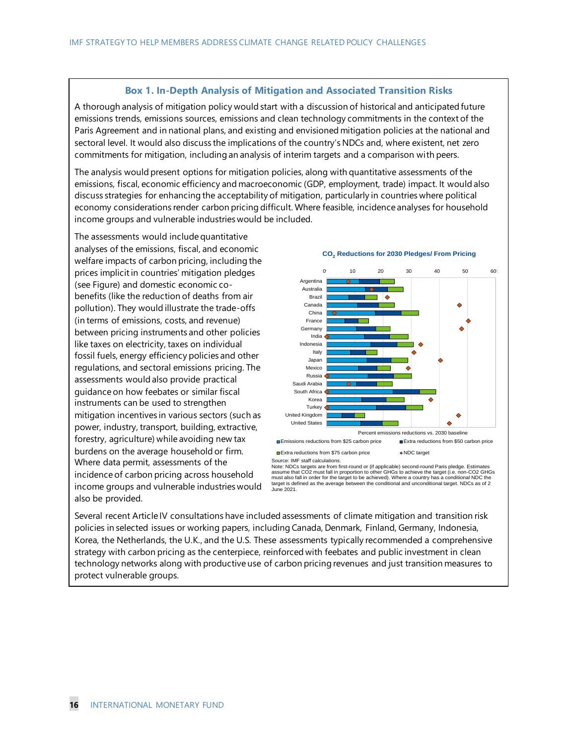#### **Box 1. In-Depth Analysis of Mitigation and Associated Transition Risks**

A thorough analysis of mitigation policy would start with a discussion of historical and anticipated future emissions trends, emissions sources, emissions and clean technology commitments in the context of the Paris Agreement and in national plans, and existing and envisioned mitigation policies at the national and sectoral level. It would also discuss the implications of the country's NDCs and, where existent, net zero commitments for mitigation, including an analysis of interim targets and a comparison with peers.

The analysis would present options for mitigation policies, along with quantitative assessments of the emissions, fiscal, economic efficiency and macroeconomic (GDP, employment, trade) impact. It would also discuss strategies for enhancing the acceptability of mitigation, particularly in countries where political economy considerations render carbon pricing difficult. Where feasible, incidence analyses for household income groups and vulnerable industries would be included.

The assessments would include quantitative analyses of the emissions, fiscal, and economic welfare impacts of carbon pricing, including the prices implicit in countries' mitigation pledges (see Figure) and domestic economic cobenefits (like the reduction of deaths from air pollution). They would illustrate the trade-offs (in terms of emissions, costs, and revenue) between pricing instruments and other policies like taxes on electricity, taxes on individual fossil fuels, energy efficiency policies and other regulations, and sectoral emissions pricing. The assessments would also provide practical guidance on how feebates or similar fiscal instruments can be used to strengthen mitigation incentives in various sectors (such as power, industry, transport, building, extractive, forestry, agriculture) while avoiding new tax burdens on the average household or firm. Where data permit, assessments of the incidence of carbon pricing across household income groups and vulnerable industries would also be provided.



**CO<sup>2</sup> Reductions for 2030 Pledges/ From Pricing**

Source: IMF staff calculations.<br>Note: NDCs targets are from first-round or (if applicable) second-round Paris pledge. Estimates<br>assume that CO2 must fall in proportion to other GHGs to achieve the target (i.e. non-CO2 GHGs June 2021.

Several recent Article IV consultations have included assessments of climate mitigation and transition risk policies in selected issues or working papers, including Canada, Denmark, Finland, Germany, Indonesia, Korea, the Netherlands, the U.K., and the U.S. These assessments typically recommended a comprehensive strategy with carbon pricing as the centerpiece, reinforced with feebates and public investment in clean technology networks along with productive use of carbon pricing revenues and just transition measures to protect vulnerable groups.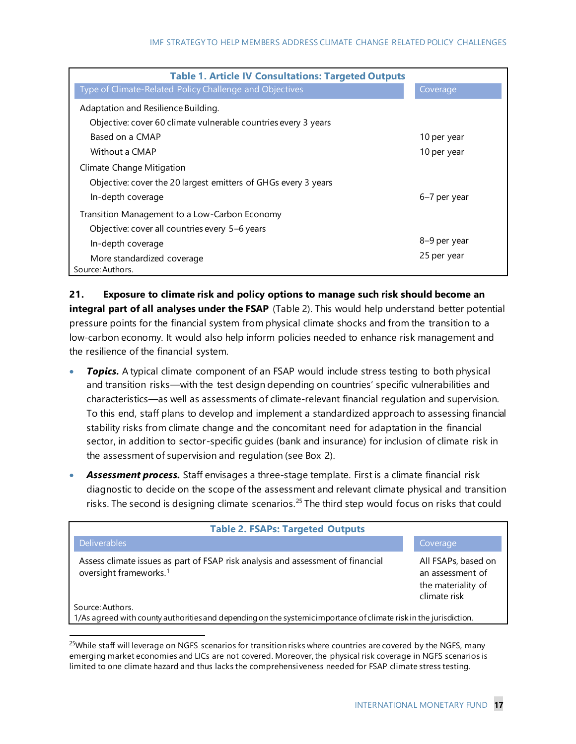| <b>Table 1. Article IV Consultations: Targeted Outputs</b>     |              |
|----------------------------------------------------------------|--------------|
| Type of Climate-Related Policy Challenge and Objectives        | Coverage     |
| Adaptation and Resilience Building.                            |              |
| Objective: cover 60 climate vulnerable countries every 3 years |              |
| Based on a CMAP                                                | 10 per year  |
| Without a CMAP                                                 | 10 per year  |
| Climate Change Mitigation                                      |              |
| Objective: cover the 20 largest emitters of GHGs every 3 years |              |
| In-depth coverage                                              | 6–7 per year |
| Transition Management to a Low-Carbon Economy                  |              |
| Objective: cover all countries every 5-6 years                 |              |
| In-depth coverage                                              | 8-9 per year |
| More standardized coverage                                     | 25 per year  |
| Source: Authors.                                               |              |

**21. Exposure to climate risk and policy options to manage such risk should become an integral part of all analyses under the FSAP** (Table 2). This would help understand better potential pressure points for the financial system from physical climate shocks and from the transition to a low-carbon economy. It would also help inform policies needed to enhance risk management and the resilience of the financial system.

- **Topics.** A typical climate component of an FSAP would include stress testing to both physical and transition risks—with the test design depending on countries' specific vulnerabilities and characteristics—as well as assessments of climate-relevant financial regulation and supervision. To this end, staff plans to develop and implement a standardized approach to assessing financial stability risks from climate change and the concomitant need for adaptation in the financial sector, in addition to sector-specific guides (bank and insurance) for inclusion of climate risk in the assessment of supervision and regulation (see Box 2).
- *Assessment process.* Staff envisages a three-stage template. First is a climate financial risk diagnostic to decide on the scope of the assessment and relevant climate physical and transition risks. The second is designing climate scenarios.<sup>25</sup> The third step would focus on risks that could

| <b>Table 2. FSAPs: Targeted Outputs</b>                                                                                               |                                                                               |
|---------------------------------------------------------------------------------------------------------------------------------------|-------------------------------------------------------------------------------|
| <b>Deliverables</b>                                                                                                                   | Coverage                                                                      |
| Assess climate issues as part of FSAP risk analysis and assessment of financial<br>oversight frameworks. <sup>1</sup>                 | All FSAPs, based on<br>an assessment of<br>the materiality of<br>climate risk |
| Source: Authors.<br>1/As agreed with county authorities and depending on the systemic importance of climate risk in the jurisdiction. |                                                                               |

<sup>&</sup>lt;sup>25</sup>While staff will leverage on NGFS scenarios for transition risks where countries are covered by the NGFS, many emerging market economies and LICs are not covered. Moreover, the physical risk coverage in NGFS scenarios is limited to one climate hazard and thus lacks the comprehensiveness needed for FSAP climate stress testing.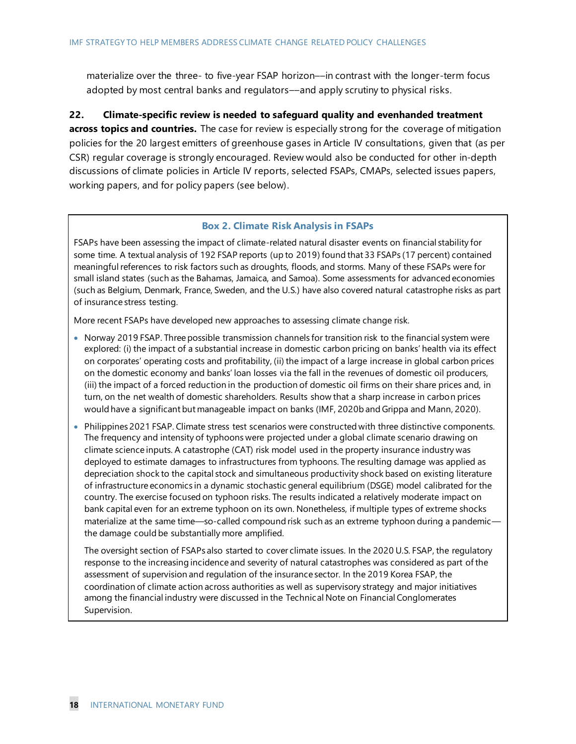materialize over the three- to five-year FSAP horizon––in contrast with the longer-term focus adopted by most central banks and regulators––and apply scrutiny to physical risks.

**22. Climate-specific review is needed to safeguard quality and evenhanded treatment across topics and countries.** The case for review is especially strong for the coverage of mitigation policies for the 20 largest emitters of greenhouse gases in Article IV consultations, given that (as per CSR) regular coverage is strongly encouraged. Review would also be conducted for other in-depth discussions of climate policies in Article IV reports, selected FSAPs, CMAPs, selected issues papers, working papers, and for policy papers (see below).

#### **Box 2. Climate Risk Analysis in FSAPs**

FSAPs have been assessing the impact of climate-related natural disaster events on financial stability for some time. A textual analysis of 192 FSAP reports (up to 2019) found that 33 FSAPs (17 percent) contained meaningful references to risk factors such as droughts, floods, and storms. Many of these FSAPs were for small island states (such as the Bahamas, Jamaica, and Samoa). Some assessments for advanced economies (such as Belgium, Denmark, France, Sweden, and the U.S.) have also covered natural catastrophe risks as part of insurance stress testing.

More recent FSAPs have developed new approaches to assessing climate change risk.

- Norway 2019 FSAP. Three possible transmission channels for transition risk to the financial system were explored: (i) the impact of a substantial increase in domestic carbon pricing on banks' health via its effect on corporates' operating costs and profitability, (ii) the impact of a large increase in global carbon prices on the domestic economy and banks' loan losses via the fall in the revenues of domestic oil producers, (iii) the impact of a forced reduction in the production of domestic oil firms on their share prices and, in turn, on the net wealth of domestic shareholders. Results show that a sharp increase in carbon prices would have a significant but manageable impact on banks (IMF, 2020b and Grippa and Mann, 2020).
- Philippines 2021 FSAP. Climate stress test scenarios were constructed with three distinctive components. The frequency and intensity of typhoons were projected under a global climate scenario drawing on climate science inputs. A catastrophe (CAT) risk model used in the property insurance industry was deployed to estimate damages to infrastructures from typhoons. The resulting damage was applied as depreciation shock to the capital stock and simultaneous productivity shock based on existing literature of infrastructure economics in a dynamic stochastic general equilibrium (DSGE) model calibrated for the country. The exercise focused on typhoon risks. The results indicated a relatively moderate impact on bank capital even for an extreme typhoon on its own. Nonetheless, if multiple types of extreme shocks materialize at the same time—so-called compound risk such as an extreme typhoon during a pandemic the damage could be substantially more amplified.

The oversight section of FSAPs also started to cover climate issues. In the 2020 U.S. FSAP, the regulatory response to the increasing incidence and severity of natural catastrophes was considered as part of the assessment of supervision and regulation of the insurance sector. In the 2019 Korea FSAP, the coordination of climate action across authorities as well as supervisory strategy and major initiatives among the financial industry were discussed in the Technical Note on Financial Conglomerates Supervision.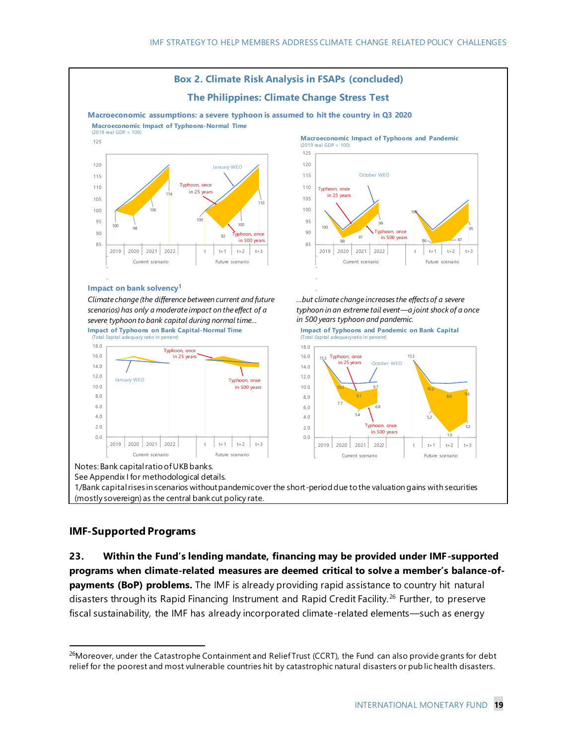

#### **IMF-Supported Programs**

**23. Within the Fund's lending mandate, financing may be provided under IMF-supported programs when climate-related measures are deemed critical to solve a member's balance-ofpayments (BoP) problems.** The IMF is already providing rapid assistance to country hit natural disasters through its Rapid Financing Instrument and Rapid Credit Facility.<sup>26</sup> Further, to preserve fiscal sustainability, the IMF has already incorporated climate-related elements—such as energy

<sup>&</sup>lt;sup>26</sup>Moreover, under the Catastrophe Containment and Relief Trust (CCRT), the Fund can also provide grants for debt relief for the poorest and most vulnerable countries hit by catastrophic natural disasters or pub lic health disasters.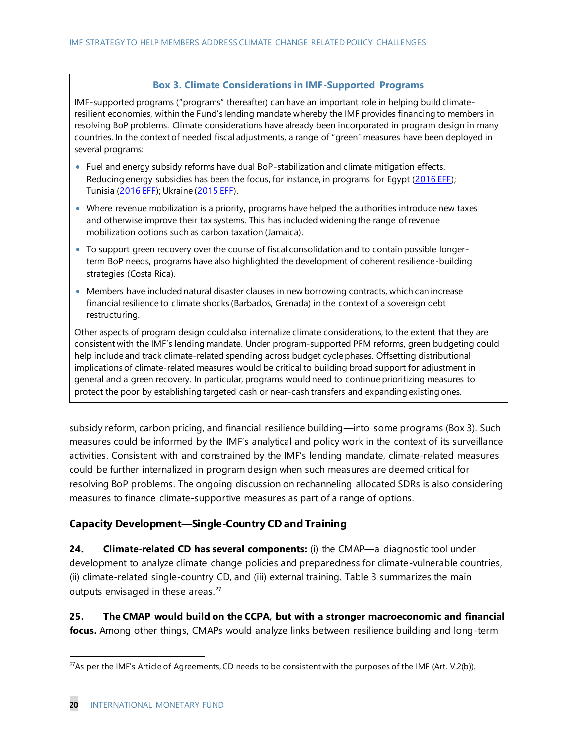#### **Box 3. Climate Considerations in IMF-Supported Programs**

IMF-supported programs ("programs" thereafter) can have an important role in helping build climateresilient economies, within the Fund's lending mandate whereby the IMF provides financing to members in resolving BoP problems. Climate considerations have already been incorporated in program design in many countries. In the context of needed fiscal adjustments, a range of "green" measures have been deployed in several programs:

- Fuel and energy subsidy reforms have dual BoP-stabilization and climate mitigation effects. Reducing energy subsidies has been the focus, for instance, in programs for Egypt [\(2016 EFF](https://www.imf.org/-/media/Files/Publications/CR/2017/cr1717.ashx)); Tunisia [\(2016 EFF\)](https://www.imf.org/-/media/Websites/IMF/imported-full-text-pdf/external/pubs/ft/scr/2016/_cr16138.ashx); Ukraine [\(2015 EFF](https://www.imf.org/-/media/Websites/IMF/imported-full-text-pdf/external/pubs/ft/scr/2015/_cr1569.ashx)).
- Where revenue mobilization is a priority, programs have helped the authorities introduce new taxes and otherwise improve their tax systems. This has included widening the range of revenue mobilization options such as carbon taxation (Jamaica).
- To support green recovery over the course of fiscal consolidation and to contain possible longerterm BoP needs, programs have also highlighted the development of coherent resilience-building strategies (Costa Rica).
- Members have included natural disaster clauses in new borrowing contracts, which can increase financial resilience to climate shocks (Barbados, Grenada) in the context of a sovereign debt restructuring.

Other aspects of program design could also internalize climate considerations, to the extent that they are consistent with the IMF's lending mandate. Under program-supported PFM reforms, green budgeting could help include and track climate-related spending across budget cycle phases. Offsetting distributional implications of climate-related measures would be critical to building broad support for adjustment in general and a green recovery. In particular, programs would need to continue prioritizing measures to protect the poor by establishing targeted cash or near-cash transfers and expanding existing ones.

subsidy reform, carbon pricing, and financial resilience building—into some programs (Box 3). Such measures could be informed by the IMF's analytical and policy work in the context of its surveillance activities. Consistent with and constrained by the IMF's lending mandate, climate-related measures could be further internalized in program design when such measures are deemed critical for resolving BoP problems. The ongoing discussion on rechanneling allocated SDRs is also considering measures to finance climate-supportive measures as part of a range of options.

#### **Capacity Development—Single-Country CD and Training**

**24. Climate-related CD has several components:** (i) the CMAP—a diagnostic tool under development to analyze climate change policies and preparedness for climate-vulnerable countries, (ii) climate-related single-country CD, and (iii) external training. Table 3 summarizes the main outputs envisaged in these areas. $27$ 

**25. The CMAP would build on the CCPA, but with a stronger macroeconomic and financial focus.** Among other things, CMAPs would analyze links between resilience building and long-term

<sup>&</sup>lt;sup>27</sup>As per the IMF's Article of Agreements, CD needs to be consistent with the purposes of the IMF (Art. V.2(b)).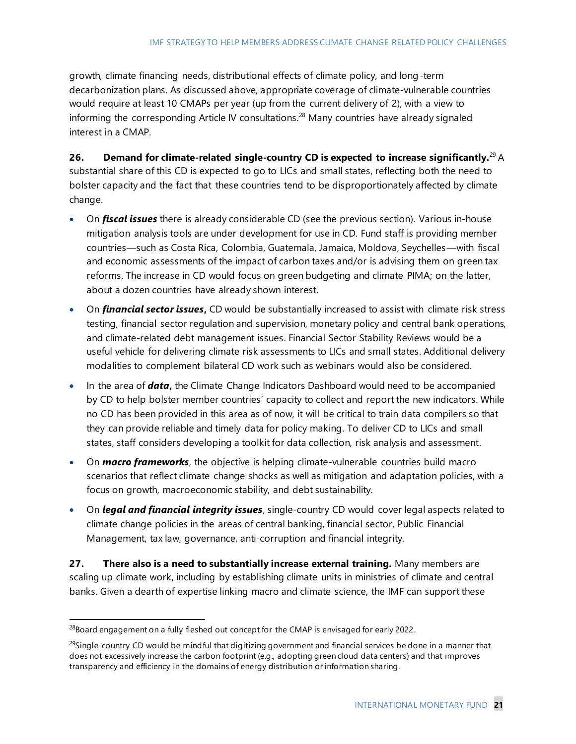growth, climate financing needs, distributional effects of climate policy, and long-term decarbonization plans. As discussed above, appropriate coverage of climate-vulnerable countries would require at least 10 CMAPs per year (up from the current delivery of 2), with a view to informing the corresponding Article IV consultations.<sup>28</sup> Many countries have already signaled interest in a CMAP.

**26. Demand for climate-related single-country CD is expected to increase significantly.**<sup>29</sup> A substantial share of this CD is expected to go to LICs and small states, reflecting both the need to bolster capacity and the fact that these countries tend to be disproportionately affected by climate change.

- On *fiscal issues* there is already considerable CD (see the previous section). Various in-house mitigation analysis tools are under development for use in CD. Fund staff is providing member countries—such as Costa Rica, Colombia, Guatemala, Jamaica, Moldova, Seychelles—with fiscal and economic assessments of the impact of carbon taxes and/or is advising them on green tax reforms. The increase in CD would focus on green budgeting and climate PIMA; on the latter, about a dozen countries have already shown interest.
- On *financial sector issues***,** CD would be substantially increased to assist with climate risk stress testing, financial sector regulation and supervision, monetary policy and central bank operations, and climate-related debt management issues. Financial Sector Stability Reviews would be a useful vehicle for delivering climate risk assessments to LICs and small states. Additional delivery modalities to complement bilateral CD work such as webinars would also be considered.
- In the area of *data***,** the Climate Change Indicators Dashboard would need to be accompanied by CD to help bolster member countries' capacity to collect and report the new indicators. While no CD has been provided in this area as of now, it will be critical to train data compilers so that they can provide reliable and timely data for policy making. To deliver CD to LICs and small states, staff considers developing a toolkit for data collection, risk analysis and assessment.
- On **macro frameworks**, the objective is helping climate-vulnerable countries build macro scenarios that reflect climate change shocks as well as mitigation and adaptation policies, with a focus on growth, macroeconomic stability, and debt sustainability.
- On *legal and financial integrity issues*, single-country CD would cover legal aspects related to climate change policies in the areas of central banking, financial sector, Public Financial Management, tax law, governance, anti-corruption and financial integrity.

**27. There also is a need to substantially increase external training.** Many members are scaling up climate work, including by establishing climate units in ministries of climate and central banks. Given a dearth of expertise linking macro and climate science, the IMF can support these

 $28$ Board engagement on a fully fleshed out concept for the CMAP is envisaged for early 2022.

<sup>&</sup>lt;sup>29</sup>Single-country CD would be mindful that digitizing government and financial services be done in a manner that does not excessively increase the carbon footprint (e.g., adopting green cloud data centers) and that improves transparency and efficiency in the domains of energy distribution or information sharing.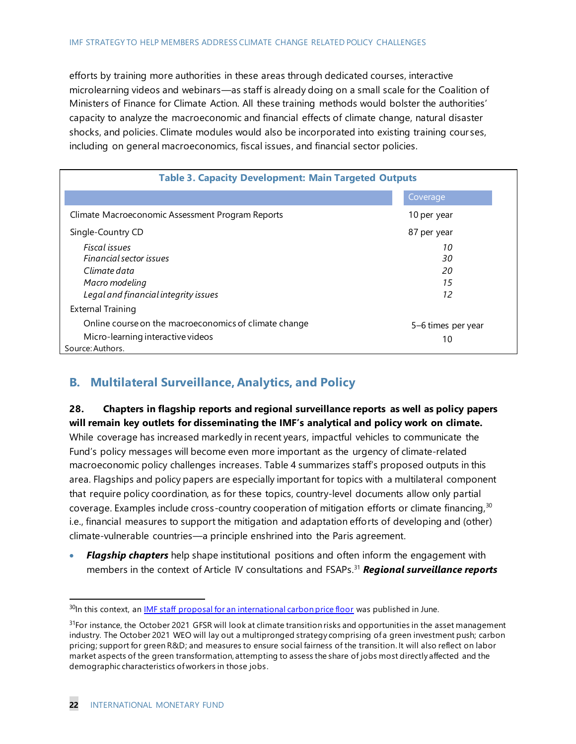efforts by training more authorities in these areas through dedicated courses, interactive microlearning videos and webinars—as staff is already doing on a small scale for the Coalition of Ministers of Finance for Climate Action. All these training methods would bolster the authorities' capacity to analyze the macroeconomic and financial effects of climate change, natural disaster shocks, and policies. Climate modules would also be incorporated into existing training cour ses, including on general macroeconomics, fiscal issues, and financial sector policies.

| <b>Table 3. Capacity Development: Main Targeted Outputs</b>                                                    |                          |
|----------------------------------------------------------------------------------------------------------------|--------------------------|
|                                                                                                                | Coverage                 |
| Climate Macroeconomic Assessment Program Reports                                                               | 10 per year              |
| Single-Country CD                                                                                              | 87 per year              |
| Fiscal issues<br>Financial sector issues<br>Climate data                                                       | 10<br>30<br>20           |
| Macro modeling<br>Legal and financial integrity issues                                                         | 15<br>12                 |
| <b>External Training</b>                                                                                       |                          |
| Online course on the macroeconomics of climate change<br>Micro-learning interactive videos<br>Source: Authors. | 5-6 times per year<br>10 |

## **B. Multilateral Surveillance, Analytics, and Policy**

#### **28. Chapters in flagship reports and regional surveillance reports as well as policy papers will remain key outlets for disseminating the IMF's analytical and policy work on climate.**

While coverage has increased markedly in recent years, impactful vehicles to communicate the Fund's policy messages will become even more important as the urgency of climate-related macroeconomic policy challenges increases. Table 4 summarizes staff's proposed outputs in this area. Flagships and policy papers are especially important for topics with a multilateral component that require policy coordination, as for these topics, country-level documents allow only partial coverage. Examples include cross-country cooperation of mitigation efforts or climate financing,  $30$ i.e., financial measures to support the mitigation and adaptation efforts of developing and (other) climate-vulnerable countries—a principle enshrined into the Paris agreement.

• *Flagship chapters* help shape institutional positions and often inform the engagement with members in the context of Article IV consultations and FSAPs.<sup>31</sup> *Regional surveillance reports* 

<sup>&</sup>lt;sup>30</sup>In this context, a[n IMF staff proposal for an international carbon price floor](https://www.imf.org/-/media/Files/Publications/Staff-Climate-Notes/2021/English/CLNEA2021001.ashx) was published in June.

 $31$ For instance, the October 2021 GFSR will look at climate transition risks and opportunities in the asset management industry. The October 2021 WEO will lay out a multipronged strategy comprising of a green investment push; carbon pricing; support for green R&D; and measures to ensure social fairness of the transition. It will also reflect on labor market aspects of the green transformation, attempting to assess the share of jobs most directly affected and the demographic characteristics of workers in those jobs.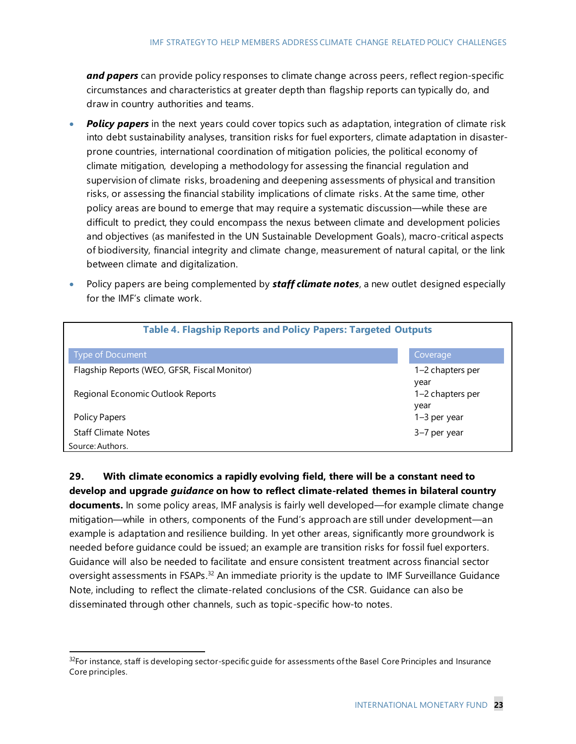*and papers* can provide policy responses to climate change across peers, reflect region-specific circumstances and characteristics at greater depth than flagship reports can typically do, and draw in country authorities and teams.

- **Policy papers** in the next years could cover topics such as adaptation, integration of climate risk into debt sustainability analyses, transition risks for fuel exporters, climate adaptation in disasterprone countries, international coordination of mitigation policies, the political economy of climate mitigation, developing a methodology for assessing the financial regulation and supervision of climate risks, broadening and deepening assessments of physical and transition risks, or assessing the financial stability implications of climate risks. At the same time, other policy areas are bound to emerge that may require a systematic discussion—while these are difficult to predict, they could encompass the nexus between climate and development policies and objectives (as manifested in the UN Sustainable Development Goals), macro-critical aspects of biodiversity, financial integrity and climate change, measurement of natural capital, or the link between climate and digitalization.
- Policy papers are being complemented by *staff climate notes*, a new outlet designed especially for the IMF's climate work.

| <b>Table 4. Flagship Reports and Policy Papers: Targeted Outputs</b> |                          |
|----------------------------------------------------------------------|--------------------------|
| <b>Type of Document</b>                                              | Coverage                 |
| Flagship Reports (WEO, GFSR, Fiscal Monitor)                         | 1–2 chapters per<br>year |
| Regional Economic Outlook Reports                                    | 1–2 chapters per<br>year |
| Policy Papers                                                        | $1-3$ per year           |
| <b>Staff Climate Notes</b>                                           | 3-7 per year             |
| Source: Authors.                                                     |                          |

**29. With climate economics a rapidly evolving field, there will be a constant need to develop and upgrade** *guidance* **on how to reflect climate-related themes in bilateral country documents.** In some policy areas, IMF analysis is fairly well developed—for example climate change mitigation—while in others, components of the Fund's approach are still under development—an example is adaptation and resilience building. In yet other areas, significantly more groundwork is needed before guidance could be issued; an example are transition risks for fossil fuel exporters. Guidance will also be needed to facilitate and ensure consistent treatment across financial sector oversight assessments in FSAPs.<sup>32</sup> An immediate priority is the update to IMF Surveillance Guidance Note, including to reflect the climate-related conclusions of the CSR. Guidance can also be disseminated through other channels, such as topic-specific how-to notes.

<sup>&</sup>lt;sup>32</sup>For instance, staff is developing sector-specific guide for assessments of the Basel Core Principles and Insurance Core principles.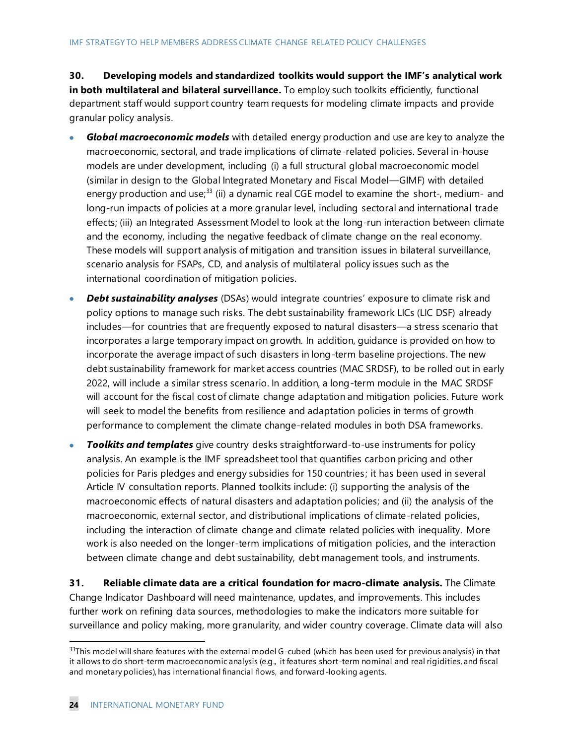**30. Developing models and standardized toolkits would support the IMF's analytical work in both multilateral and bilateral surveillance.** To employ such toolkits efficiently, functional department staff would support country team requests for modeling climate impacts and provide granular policy analysis.

- *Global macroeconomic models* with detailed energy production and use are key to analyze the macroeconomic, sectoral, and trade implications of climate-related policies. Several in-house models are under development, including (i) a full structural global macroeconomic model (similar in design to the Global Integrated Monetary and Fiscal Model—GIMF) with detailed energy production and use;<sup>33</sup> (ii) a dynamic real CGE model to examine the short-, medium- and long-run impacts of policies at a more granular level, including sectoral and international trade effects; (iii) an Integrated Assessment Model to look at the long-run interaction between climate and the economy, including the negative feedback of climate change on the real economy. These models will support analysis of mitigation and transition issues in bilateral surveillance, scenario analysis for FSAPs, CD, and analysis of multilateral policy issues such as the international coordination of mitigation policies.
- *Debt sustainability analyses* (DSAs) would integrate countries' exposure to climate risk and policy options to manage such risks. The debt sustainability framework LICs (LIC DSF) already includes—for countries that are frequently exposed to natural disasters—a stress scenario that incorporates a large temporary impact on growth. In addition, guidance is provided on how to incorporate the average impact of such disasters in long-term baseline projections. The new debt sustainability framework for market access countries (MAC SRDSF), to be rolled out in early 2022, will include a similar stress scenario. In addition, a long-term module in the MAC SRDSF will account for the fiscal cost of climate change adaptation and mitigation policies. Future work will seek to model the benefits from resilience and adaptation policies in terms of growth performance to complement the climate change-related modules in both DSA frameworks.
- *Toolkits and templates* give country desks straightforward-to-use instruments for policy analysis. An example is the IMF spreadsheet tool that quantifies carbon pricing and other policies for Paris pledges and energy subsidies for 150 countries; it has been used in several Article IV consultation reports. Planned toolkits include: (i) supporting the analysis of the macroeconomic effects of natural disasters and adaptation policies; and (ii) the analysis of the macroeconomic, external sector, and distributional implications of climate-related policies, including the interaction of climate change and climate related policies with inequality. More work is also needed on the longer-term implications of mitigation policies, and the interaction between climate change and debt sustainability, debt management tools, and instruments.

**31. Reliable climate data are a critical foundation for macro-climate analysis.** The Climate Change Indicator Dashboard will need maintenance, updates, and improvements. This includes further work on refining data sources, methodologies to make the indicators more suitable for surveillance and policy making, more granularity, and wider country coverage. Climate data will also

 $33$ This model will share features with the external model G-cubed (which has been used for previous analysis) in that it allows to do short-term macroeconomic analysis (e.g., it features short-term nominal and real rigidities, and fiscal and monetary policies), has international financial flows, and forward-looking agents.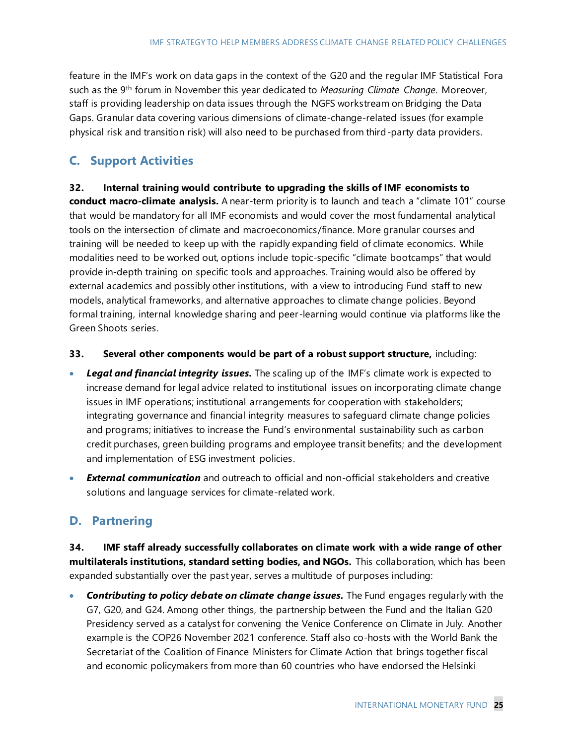feature in the IMF's work on data gaps in the context of the G20 and the regular IMF Statistical Fora such as the 9th forum in November this year dedicated to *Measuring Climate Change*. Moreover, staff is providing leadership on data issues through the NGFS workstream on Bridging the Data Gaps. Granular data covering various dimensions of climate-change-related issues (for example physical risk and transition risk) will also need to be purchased from third-party data providers.

### **C. Support Activities**

**32. Internal training would contribute to upgrading the skills of IMF economists to conduct macro-climate analysis.** A near-term priority is to launch and teach a "climate 101" course that would be mandatory for all IMF economists and would cover the most fundamental analytical tools on the intersection of climate and macroeconomics/finance. More granular courses and training will be needed to keep up with the rapidly expanding field of climate economics. While modalities need to be worked out, options include topic-specific "climate bootcamps" that would provide in-depth training on specific tools and approaches. Training would also be offered by external academics and possibly other institutions, with a view to introducing Fund staff to new models, analytical frameworks, and alternative approaches to climate change policies. Beyond formal training, internal knowledge sharing and peer-learning would continue via platforms like the Green Shoots series.

- **33. Several other components would be part of a robust support structure,** including:
- *Legal and financial integrity issues.* The scaling up of the IMF's climate work is expected to increase demand for legal advice related to institutional issues on incorporating climate change issues in IMF operations; institutional arrangements for cooperation with stakeholders; integrating governance and financial integrity measures to safeguard climate change policies and programs; initiatives to increase the Fund's environmental sustainability such as carbon credit purchases, green building programs and employee transit benefits; and the development and implementation of ESG investment policies.
- *External communication* and outreach to official and non-official stakeholders and creative solutions and language services for climate-related work.

## **D. Partnering**

**34. IMF staff already successfully collaborates on climate work with a wide range of other multilaterals institutions, standard setting bodies, and NGOs.** This collaboration, which has been expanded substantially over the past year, serves a multitude of purposes including:

• *Contributing to policy debate on climate change issues.* The Fund engages regularly with the G7, G20, and G24. Among other things, the partnership between the Fund and the Italian G20 Presidency served as a catalyst for convening the Venice Conference on Climate in July. Another example is the COP26 November 2021 conference. Staff also co-hosts with the World Bank the Secretariat of the Coalition of Finance Ministers for Climate Action that brings together fiscal and economic policymakers from more than 60 countries who have endorsed the Helsinki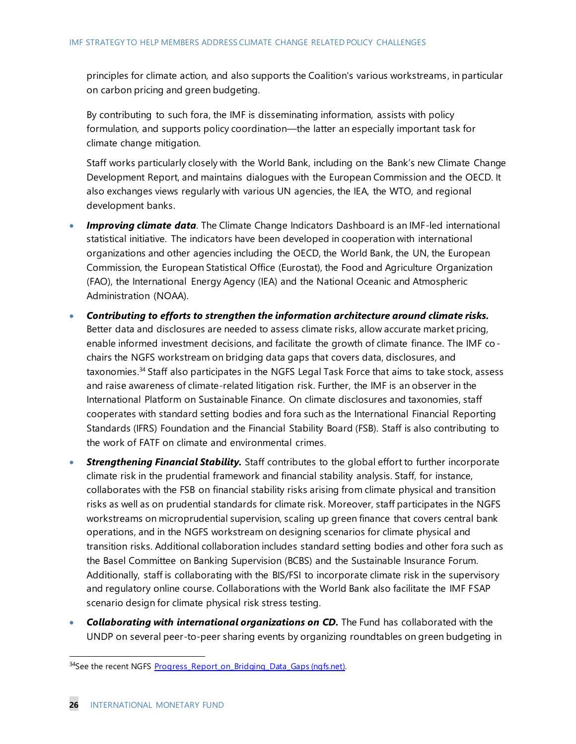principles for climate action, and also supports the Coalition's various workstreams , in particular on carbon pricing and green budgeting.

By contributing to such fora, the IMF is disseminating information, assists with policy formulation, and supports policy coordination—the latter an especially important task for climate change mitigation.

Staff works particularly closely with the World Bank, including on the Bank's new Climate Change Development Report, and maintains dialogues with the European Commission and the OECD. It also exchanges views regularly with various UN agencies, the IEA, the WTO, and regional development banks.

- *Improving climate data.* The Climate Change Indicators Dashboard is an IMF-led international statistical initiative. The indicators have been developed in cooperation with international organizations and other agencies including the OECD, the World Bank, the UN, the European Commission, the European Statistical Office (Eurostat), the Food and Agriculture Organization (FAO), the International Energy Agency (IEA) and the National Oceanic and Atmospheric Administration (NOAA).
- *Contributing to efforts to strengthen the information architecture around climate risks.* Better data and disclosures are needed to assess climate risks, allow accurate market pricing, enable informed investment decisions, and facilitate the growth of climate finance. The IMF cochairs the NGFS workstream on bridging data gaps that covers data, disclosures, and taxonomies.<sup>34</sup> Staff also participates in the NGFS Legal Task Force that aims to take stock, assess and raise awareness of climate-related litigation risk. Further, the IMF is an observer in the International Platform on Sustainable Finance. On climate disclosures and taxonomies, staff cooperates with standard setting bodies and fora such as the International Financial Reporting Standards (IFRS) Foundation and the Financial Stability Board (FSB). Staff is also contributing to the work of FATF on climate and environmental crimes.
- *Strengthening Financial Stability.* Staff contributes to the global effort to further incorporate climate risk in the prudential framework and financial stability analysis. Staff, for instance, collaborates with the FSB on financial stability risks arising from climate physical and transition risks as well as on prudential standards for climate risk. Moreover, staff participates in the NGFS workstreams on microprudential supervision, scaling up green finance that covers central bank operations, and in the NGFS workstream on designing scenarios for climate physical and transition risks. Additional collaboration includes standard setting bodies and other fora such as the Basel Committee on Banking Supervision (BCBS) and the Sustainable Insurance Forum. Additionally, staff is collaborating with the BIS/FSI to incorporate climate risk in the supervisory and regulatory online course. Collaborations with the World Bank also facilitate the IMF FSAP scenario design for climate physical risk stress testing.
- *Collaborating with international organizations on CD.* The Fund has collaborated with the UNDP on several peer-to-peer sharing events by organizing roundtables on green budgeting in

<sup>&</sup>lt;sup>34</sup>See the recent NGFS Progress Report on Bridging Data Gaps (ngfs.net).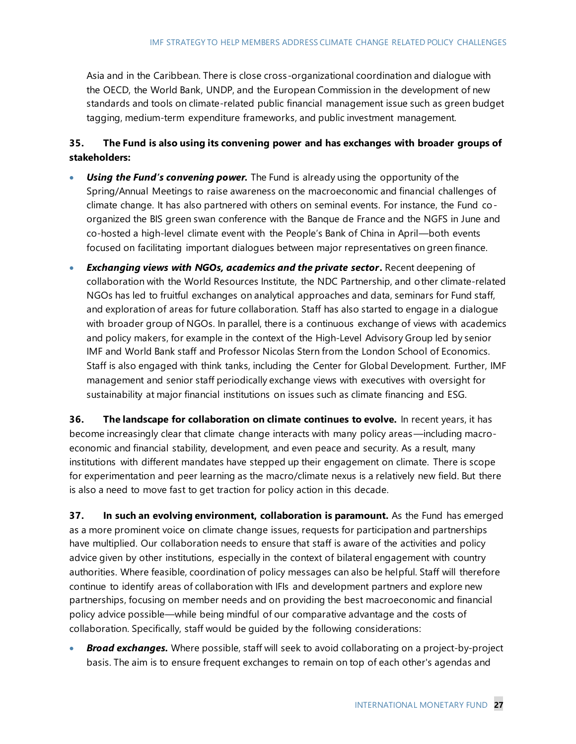Asia and in the Caribbean. There is close cross-organizational coordination and dialogue with the OECD, the World Bank, UNDP, and the European Commission in the development of new standards and tools on climate-related public financial management issue such as green budget tagging, medium-term expenditure frameworks, and public investment management.

#### **35. The Fund is also using its convening power and has exchanges with broader groups of stakeholders:**

- **Using the Fund's convening power.** The Fund is already using the opportunity of the Spring/Annual Meetings to raise awareness on the macroeconomic and financial challenges of climate change. It has also partnered with others on seminal events. For instance, the Fund coorganized the BIS green swan conference with the Banque de France and the NGFS in June and co-hosted a high-level climate event with the People's Bank of China in April—both events focused on facilitating important dialogues between major representatives on green finance.
- *Exchanging views with NGOs, academics and the private sector***.** Recent deepening of collaboration with the World Resources Institute, the NDC Partnership, and other climate-related NGOs has led to fruitful exchanges on analytical approaches and data, seminars for Fund staff, and exploration of areas for future collaboration. Staff has also started to engage in a dialogue with broader group of NGOs. In parallel, there is a continuous exchange of views with academics and policy makers, for example in the context of the High-Level Advisory Group led by senior IMF and World Bank staff and Professor Nicolas Stern from the London School of Economics. Staff is also engaged with think tanks, including the Center for Global Development. Further, IMF management and senior staff periodically exchange views with executives with oversight for sustainability at major financial institutions on issues such as climate financing and ESG.

**36. The landscape for collaboration on climate continues to evolve.** In recent years, it has become increasingly clear that climate change interacts with many policy areas—including macroeconomic and financial stability, development, and even peace and security. As a result, many institutions with different mandates have stepped up their engagement on climate. There is scope for experimentation and peer learning as the macro/climate nexus is a relatively new field. But there is also a need to move fast to get traction for policy action in this decade.

**37.** In such an evolving environment, collaboration is paramount. As the Fund has emerged as a more prominent voice on climate change issues, requests for participation and partnerships have multiplied. Our collaboration needs to ensure that staff is aware of the activities and policy advice given by other institutions, especially in the context of bilateral engagement with country authorities. Where feasible, coordination of policy messages can also be helpful. Staff will therefore continue to identify areas of collaboration with IFIs and development partners and explore new partnerships, focusing on member needs and on providing the best macroeconomic and financial policy advice possible—while being mindful of our comparative advantage and the costs of collaboration. Specifically, staff would be guided by the following considerations:

• *Broad exchanges.* Where possible, staff will seek to avoid collaborating on a project-by-project basis. The aim is to ensure frequent exchanges to remain on top of each other's agendas and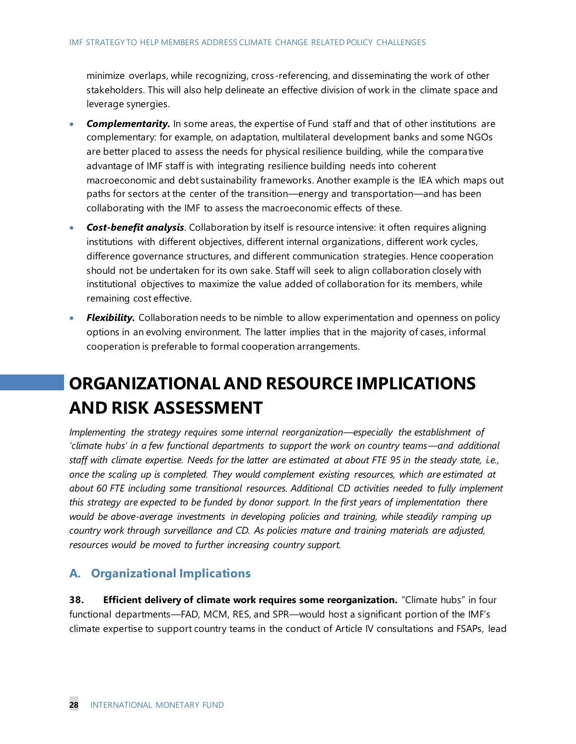minimize overlaps, while recognizing, cross-referencing, and disseminating the work of other stakeholders. This will also help delineate an effective division of work in the climate space and leverage synergies.

- *Complementarity.* In some areas, the expertise of Fund staff and that of other institutions are complementary: for example, on adaptation, multilateral development banks and some NGOs are better placed to assess the needs for physical resilience building, while the compara tive advantage of IMF staff is with integrating resilience building needs into coherent macroeconomic and debt sustainability frameworks. Another example is the IEA which maps out paths for sectors at the center of the transition—energy and transportation—and has been collaborating with the IMF to assess the macroeconomic effects of these.
- *Cost-benefit analysis.* Collaboration by itself is resource intensive: it often requires aligning institutions with different objectives, different internal organizations , different work cycles, difference governance structures, and different communication strategies. Hence cooperation should not be undertaken for its own sake. Staff will seek to align collaboration closely with institutional objectives to maximize the value added of collaboration for its members, while remaining cost effective.
- *Flexibility.* Collaboration needs to be nimble to allow experimentation and openness on policy options in an evolving environment. The latter implies that in the majority of cases, informal cooperation is preferable to formal cooperation arrangements.

## **ORGANIZATIONAL AND RESOURCE IMPLICATIONS AND RISK ASSESSMENT**

*Implementing the strategy requires some internal reorganization—especially the establishment of 'climate hubs' in a few functional departments to support the work on country teams—and additional staff with climate expertise. Needs for the latter are estimated at about FTE 95 in the steady state, i.e., once the scaling up is completed. They would complement existing resources, which are estimated at about 60 FTE including some transitional resources. Additional CD activities needed to fully implement this strategy are expected to be funded by donor support. In the first years of implementation there would be above-average investments in developing policies and training, while steadily ramping up country work through surveillance and CD. As policies mature and training materials are adjusted, resources would be moved to further increasing country support.* 

### **A. Organizational Implications**

**38. Efficient delivery of climate work requires some reorganization.** "Climate hubs" in four functional departments—FAD, MCM, RES, and SPR—would host a significant portion of the IMF's climate expertise to support country teams in the conduct of Article IV consultations and FSAPs, lead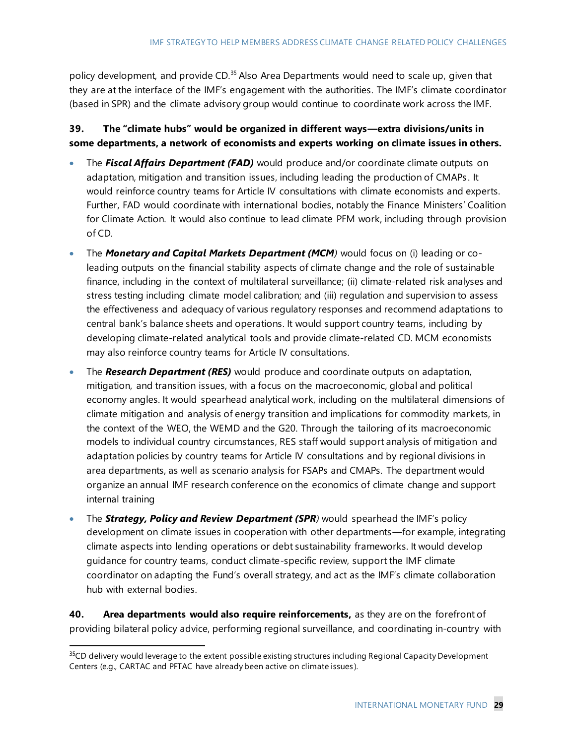policy development, and provide CD.<sup>35</sup> Also Area Departments would need to scale up, given that they are at the interface of the IMF's engagement with the authorities. The IMF's climate coordinator (based in SPR) and the climate advisory group would continue to coordinate work across the IMF.

#### **39. The "climate hubs" would be organized in different ways—extra divisions/units in some departments, a network of economists and experts working on climate issues in others.**

- The *Fiscal Affairs Department (FAD)* would produce and/or coordinate climate outputs on adaptation, mitigation and transition issues, including leading the production of CMAPs . It would reinforce country teams for Article IV consultations with climate economists and experts. Further, FAD would coordinate with international bodies, notably the Finance Ministers' Coalition for Climate Action. It would also continue to lead climate PFM work, including through provision of CD.
- The *Monetary and Capital Markets Department (MCM)* would focus on (i) leading or coleading outputs on the financial stability aspects of climate change and the role of sustainable finance, including in the context of multilateral surveillance; (ii) climate-related risk analyses and stress testing including climate model calibration; and (iii) regulation and supervision to assess the effectiveness and adequacy of various regulatory responses and recommend adaptations to central bank's balance sheets and operations. It would support country teams, including by developing climate-related analytical tools and provide climate-related CD. MCM economists may also reinforce country teams for Article IV consultations.
- The *Research Department (RES)* would produce and coordinate outputs on adaptation, mitigation, and transition issues, with a focus on the macroeconomic, global and political economy angles. It would spearhead analytical work, including on the multilateral dimensions of climate mitigation and analysis of energy transition and implications for commodity markets, in the context of the WEO, the WEMD and the G20. Through the tailoring of its macroeconomic models to individual country circumstances, RES staff would support analysis of mitigation and adaptation policies by country teams for Article IV consultations and by regional divisions in area departments, as well as scenario analysis for FSAPs and CMAPs. The department would organize an annual IMF research conference on the economics of climate change and support internal training
- The *Strategy, Policy and Review Department (SPR)* would spearhead the IMF's policy development on climate issues in cooperation with other departments—for example, integrating climate aspects into lending operations or debt sustainability frameworks. It would develop guidance for country teams, conduct climate-specific review, support the IMF climate coordinator on adapting the Fund's overall strategy, and act as the IMF's climate collaboration hub with external bodies.

**40. Area departments would also require reinforcements,** as they are on the forefront of providing bilateral policy advice, performing regional surveillance, and coordinating in-country with

<sup>&</sup>lt;sup>35</sup>CD delivery would leverage to the extent possible existing structures including Regional Capacity Development Centers (e.g., CARTAC and PFTAC have already been active on climate issues ).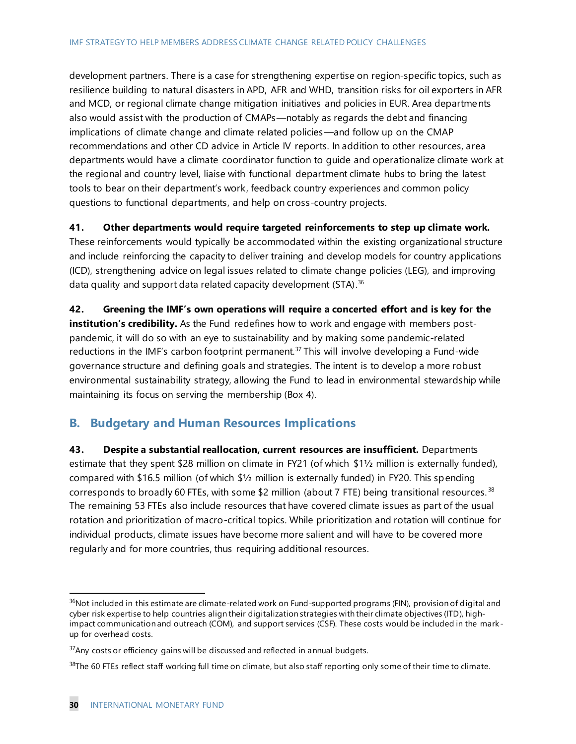development partners. There is a case for strengthening expertise on region-specific topics, such as resilience building to natural disasters in APD, AFR and WHD, transition risks for oil exporters in AFR and MCD, or regional climate change mitigation initiatives and policies in EUR. Area departments also would assist with the production of CMAPs—notably as regards the debt and financing implications of climate change and climate related policies—and follow up on the CMAP recommendations and other CD advice in Article IV reports. In addition to other resources, area departments would have a climate coordinator function to guide and operationalize climate work at the regional and country level, liaise with functional department climate hubs to bring the latest tools to bear on their department's work, feedback country experiences and common policy questions to functional departments, and help on cross-country projects.

#### **41. Other departments would require targeted reinforcements to step up climate work.**

These reinforcements would typically be accommodated within the existing organizational structure and include reinforcing the capacity to deliver training and develop models for country applications (ICD), strengthening advice on legal issues related to climate change policies (LEG), and improving data quality and support data related capacity development (STA).<sup>36</sup>

**42. Greening the IMF's own operations will require a concerted effort and is key fo**r **the institution's credibility.** As the Fund redefines how to work and engage with members postpandemic, it will do so with an eye to sustainability and by making some pandemic-related reductions in the IMF's carbon footprint permanent.<sup>37</sup> This will involve developing a Fund-wide governance structure and defining goals and strategies. The intent is to develop a more robust environmental sustainability strategy, allowing the Fund to lead in environmental stewardship while maintaining its focus on serving the membership (Box 4).

### **B. Budgetary and Human Resources Implications**

**43. Despite a substantial reallocation, current resources are insufficient.** Departments estimate that they spent \$28 million on climate in FY21 (of which \$1½ million is externally funded), compared with \$16.5 million (of which \$½ million is externally funded) in FY20. This spending corresponds to broadly 60 FTEs, with some \$2 million (about 7 FTE) being transitional resources.  $38$ The remaining 53 FTEs also include resources that have covered climate issues as part of the usual rotation and prioritization of macro-critical topics. While prioritization and rotation will continue for individual products, climate issues have become more salient and will have to be covered more regularly and for more countries, thus requiring additional resources.

<sup>&</sup>lt;sup>36</sup>Not included in this estimate are climate-related work on Fund-supported programs (FIN), provision of digital and cyber risk expertise to help countries align their digitalization strategies with their climate objectives (ITD), highimpact communication and outreach (COM), and support services (CSF). These costs would be included in the markup for overhead costs.

 $37$ Any costs or efficiency gains will be discussed and reflected in annual budgets.

 $38$ The 60 FTEs reflect staff working full time on climate, but also staff reporting only some of their time to climate.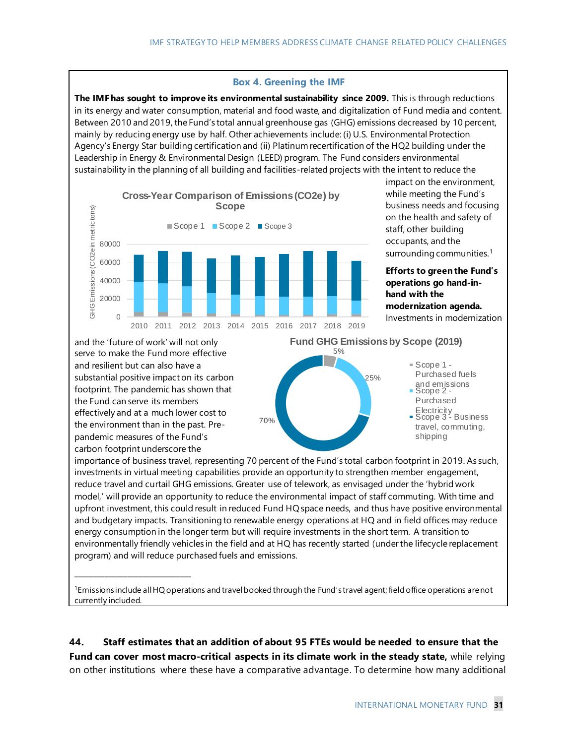#### **Box 4. Greening the IMF**

**The IMF has sought to improve its environmental sustainability since 2009.** This is through reductions in its energy and water consumption, material and food waste, and digitalization of Fund media and content. Between 2010 and 2019, the Fund's total annual greenhouse gas (GHG) emissions decreased by 10 percent, mainly by reducing energy use by half. Other achievements include: (i) U.S. Environmental Protection Agency's Energy Star building certification and (ii) Platinum recertification of the HQ2 building under the Leadership in Energy & Environmental Design (LEED) program. The Fund considers environmental sustainability in the planning of all building and facilities-related projects with the intent to reduce the



impact on the environment, while meeting the Fund's business needs and focusing on the health and safety of staff, other building occupants, and the surrounding communities.<sup>1</sup>

**Efforts to green the Fund's operations go hand-inhand with the modernization agenda.** Investments in modernization

and the 'future of work' will not only serve to make the Fund more effective and resilient but can also have a substantial positive impact on its carbon footprint. The pandemic has shown that the Fund can serve its members effectively and at a much lower cost to the environment than in the past. Prepandemic measures of the Fund's carbon footprint underscore the

\_\_\_\_\_\_\_\_\_\_\_\_\_\_\_\_\_\_\_\_\_\_\_\_\_\_\_\_\_\_\_



Purchased Electricity Scope 3 - Business travel, commuting, shipping

importance of business travel, representing 70 percent of the Fund's total carbon footprint in 2019. As such, investments in virtual meeting capabilities provide an opportunity to strengthen member engagement, reduce travel and curtail GHG emissions. Greater use of telework, as envisaged under the 'hybrid work model,' will provide an opportunity to reduce the environmental impact of staff commuting. With time and upfront investment, this could result in reduced Fund HQ space needs, and thus have positive environmental and budgetary impacts. Transitioning to renewable energy operations at HQ and in field offices may reduce energy consumption in the longer term but will require investments in the short term. A transition to environmentally friendly vehicles in the field and at HQ has recently started (under the lifecycle replacement program) and will reduce purchased fuels and emissions.

70%

<sup>1</sup>Emissions include all HQ operations and travel booked through the Fund's travel agent; field office operations are not currently included.

**44. Staff estimates that an addition of about 95 FTEs would be needed to ensure that the Fund can cover most macro-critical aspects in its climate work in the steady state,** while relying on other institutions where these have a comparative advantage. To determine how many additional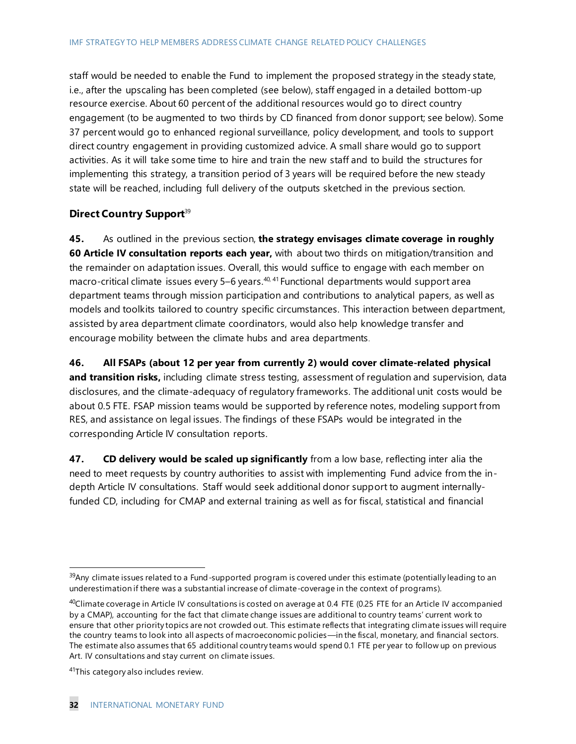staff would be needed to enable the Fund to implement the proposed strategy in the steady state, i.e., after the upscaling has been completed (see below), staff engaged in a detailed bottom-up resource exercise. About 60 percent of the additional resources would go to direct country engagement (to be augmented to two thirds by CD financed from donor support; see below). Some 37 percent would go to enhanced regional surveillance, policy development, and tools to support direct country engagement in providing customized advice. A small share would go to support activities. As it will take some time to hire and train the new staff and to build the structures for implementing this strategy, a transition period of 3 years will be required before the new steady state will be reached, including full delivery of the outputs sketched in the previous section.

#### **Direct Country Support**<sup>39</sup>

**45.** As outlined in the previous section, **the strategy envisages climate coverage in roughly 60 Article IV consultation reports each year,** with about two thirds on mitigation/transition and the remainder on adaptation issues. Overall, this would suffice to engage with each member on macro-critical climate issues every 5–6 years. $40, 41$  Functional departments would support area department teams through mission participation and contributions to analytical papers, as well as models and toolkits tailored to country specific circumstances. This interaction between department, assisted by area department climate coordinators, would also help knowledge transfer and encourage mobility between the climate hubs and area departments.

**46. All FSAPs (about 12 per year from currently 2) would cover climate-related physical**  and transition risks, including climate stress testing, assessment of regulation and supervision, data disclosures, and the climate-adequacy of regulatory frameworks. The additional unit costs would be about 0.5 FTE. FSAP mission teams would be supported by reference notes, modeling support from RES, and assistance on legal issues. The findings of these FSAPs would be integrated in the corresponding Article IV consultation reports.

**47. CD delivery would be scaled up significantly** from a low base, reflecting inter alia the need to meet requests by country authorities to assist with implementing Fund advice from the indepth Article IV consultations. Staff would seek additional donor support to augment internallyfunded CD, including for CMAP and external training as well as for fiscal, statistical and financial

 $39$ Any climate issues related to a Fund-supported program is covered under this estimate (potentially leading to an underestimation if there was a substantial increase of climate-coverage in the context of programs).

<sup>40</sup>Climate coverage in Article IV consultations is costed on average at 0.4 FTE (0.25 FTE for an Article IV accompanied by a CMAP), accounting for the fact that climate change issues are additional to country teams' current work to ensure that other priority topics are not crowded out. This estimate reflects that integrating climate issues will require the country teams to look into all aspects of macroeconomic policies—in the fiscal, monetary, and financial sectors. The estimate also assumes that 65 additional country teams would spend 0.1 FTE per year to follow up on previous Art. IV consultations and stay current on climate issues.

<sup>&</sup>lt;sup>41</sup>This category also includes review.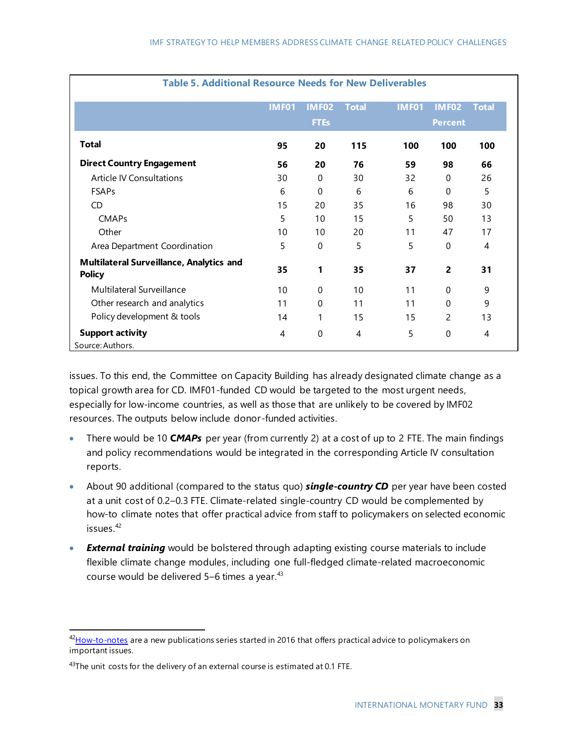| <b>Table 5. Additional Resource Needs for New Deliverables</b>   |              |                |                |              |                |                |
|------------------------------------------------------------------|--------------|----------------|----------------|--------------|----------------|----------------|
|                                                                  | <b>IMF01</b> | <b>IMF02</b>   | <b>Total</b>   | <b>IMF01</b> | <b>IMF02</b>   | <b>Total</b>   |
|                                                                  |              | <b>FTEs</b>    |                |              | <b>Percent</b> |                |
| <b>Total</b>                                                     | 95           | 20             | 115            | 100          | 100            | 100            |
| <b>Direct Country Engagement</b>                                 | 56           | 20             | 76             | 59           | 98             | 66             |
| <b>Article IV Consultations</b>                                  | 30           | $\mathsf{O}$   | 30             | 32           | $\mathbf 0$    | 26             |
| FSAPs                                                            | 6            | $\overline{0}$ | 6              | 6            | $\mathbf{0}$   | 5              |
| CD                                                               | 15           | 20             | 35             | 16           | 98             | 30             |
| CMAPs                                                            |              | 10             | 15             | 5            | 50             | 13             |
| Other                                                            | 10           | 10             | 20             | 11           | 47             | 17             |
| Area Department Coordination                                     | 5            | $\mathbf 0$    | 5              | 5            | $\Omega$       | $\overline{A}$ |
| <b>Multilateral Surveillance, Analytics and</b><br><b>Policy</b> | 35           |                | 35             | 37           | $\overline{2}$ | 31             |
| Multilateral Surveillance                                        | 10           | $\mathbf 0$    | 10             | 11           | $\mathbf 0$    | 9              |
| Other research and analytics                                     | 11           | $\mathsf{O}$   | 11             | 11           | $\Omega$       | 9              |
| Policy development & tools                                       | 14           |                | 15             | 15           | $\overline{c}$ | 13             |
| <b>Support activity</b><br>Source: Authors.                      | 4            |                | $\overline{A}$ | 5            | $\Omega$       | 4              |

issues. To this end, the Committee on Capacity Building has already designated climate change as a topical growth area for CD. IMF01-funded CD would be targeted to the most urgent needs, especially for low-income countries, as well as those that are unlikely to be covered by IMF02 resources. The outputs below include donor-funded activities.

- There would be 10 **C***MAPs* per year (from currently 2) at a cost of up to 2 FTE. The main findings and policy recommendations would be integrated in the corresponding Article IV consultation reports.
- About 90 additional (compared to the status quo) **single-country CD** per year have been costed at a unit cost of 0.2–0.3 FTE. Climate-related single-country CD would be complemented by how-to climate notes that offer practical advice from staff to policymakers on selected economic issues. 42
- **External training** would be bolstered through adapting existing course materials to include flexible climate change modules, including one full-fledged climate-related macroeconomic course would be delivered 5-6 times a year.<sup>43</sup>

<sup>&</sup>lt;sup>42</sup>[How-to-notes](https://www.imf.org/en/Publications/SPROLLs/how-to-notes) are a new publications series started in 2016 that offers practical advice to policymakers on important issues.

 $43$ The unit costs for the delivery of an external course is estimated at 0.1 FTE.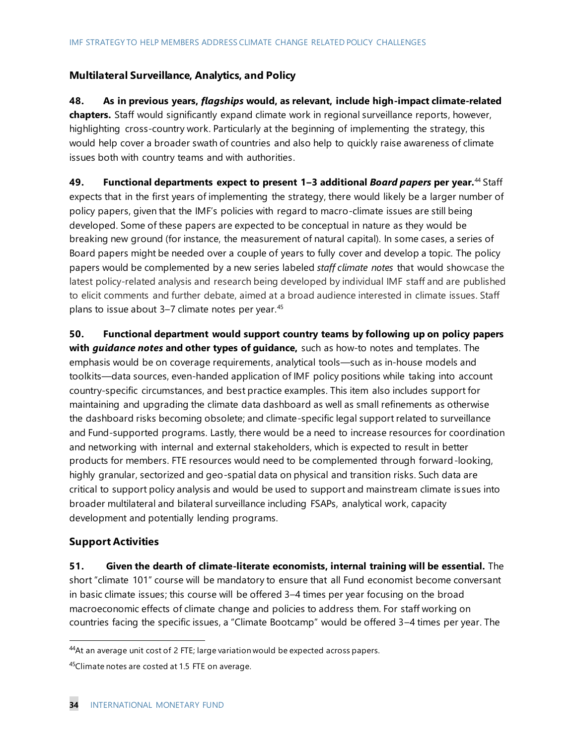#### **Multilateral Surveillance, Analytics, and Policy**

**48. As in previous years,** *flagships* **would, as relevant, include high-impact climate-related chapters.** Staff would significantly expand climate work in regional surveillance reports, however, highlighting cross-country work. Particularly at the beginning of implementing the strategy, this would help cover a broader swath of countries and also help to quickly raise awareness of climate issues both with country teams and with authorities.

**49. Functional departments expect to present 1–3 additional** *Board papers* **per year.**<sup>44</sup> Staff expects that in the first years of implementing the strategy, there would likely be a larger number of policy papers, given that the IMF's policies with regard to macro-climate issues are still being developed. Some of these papers are expected to be conceptual in nature as they would be breaking new ground (for instance, the measurement of natural capital). In some cases, a series of Board papers might be needed over a couple of years to fully cover and develop a topic. The policy papers would be complemented by a new series labeled *staff climate notes* that would showcase the latest policy-related analysis and research being developed by individual IMF staff and are published to elicit comments and further debate, aimed at a broad audience interested in climate issues. Staff plans to issue about 3-7 climate notes per year.<sup>45</sup>

**50. Functional department would support country teams by following up on policy papers with** *guidance notes* **and other types of guidance,** such as how-to notes and templates. The emphasis would be on coverage requirements, analytical tools—such as in-house models and toolkits—data sources, even-handed application of IMF policy positions while taking into account country-specific circumstances, and best practice examples. This item also includes support for maintaining and upgrading the climate data dashboard as well as small refinements as otherwise the dashboard risks becoming obsolete; and climate-specific legal support related to surveillance and Fund-supported programs. Lastly, there would be a need to increase resources for coordination and networking with internal and external stakeholders, which is expected to result in better products for members. FTE resources would need to be complemented through forward-looking, highly granular, sectorized and geo-spatial data on physical and transition risks. Such data are critical to support policy analysis and would be used to support and mainstream climate is sues into broader multilateral and bilateral surveillance including FSAPs, analytical work, capacity development and potentially lending programs.

#### **Support Activities**

**51. Given the dearth of climate-literate economists, internal training will be essential.** The short "climate 101" course will be mandatory to ensure that all Fund economist become conversant in basic climate issues; this course will be offered 3–4 times per year focusing on the broad macroeconomic effects of climate change and policies to address them. For staff working on countries facing the specific issues, a "Climate Bootcamp" would be offered 3–4 times per year. The

<sup>44</sup>At an average unit cost of 2 FTE; large variation would be expected across papers.

<sup>45</sup>Climate notes are costed at 1.5 FTE on average.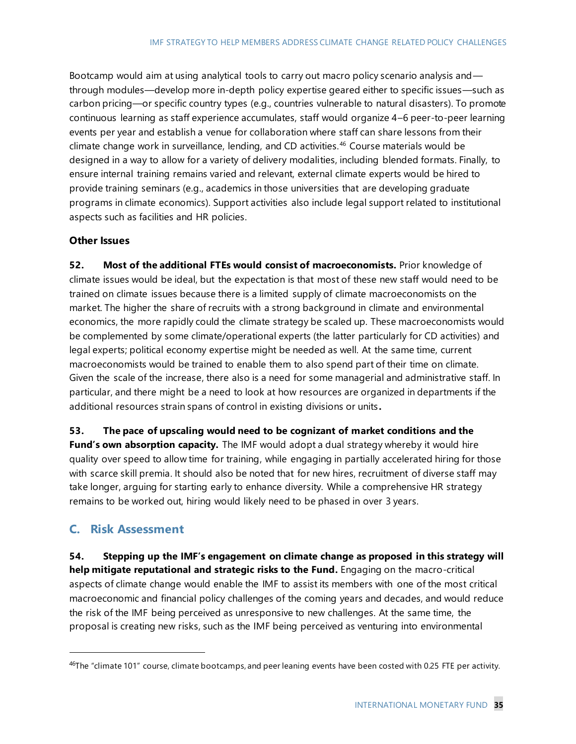Bootcamp would aim at using analytical tools to carry out macro policy scenario analysis and through modules—develop more in-depth policy expertise geared either to specific issues—such as carbon pricing—or specific country types (e.g., countries vulnerable to natural disasters). To promote continuous learning as staff experience accumulates, staff would organize 4–6 peer-to-peer learning events per year and establish a venue for collaboration where staff can share lessons from their climate change work in surveillance, lending, and CD activities.<sup>46</sup> Course materials would be designed in a way to allow for a variety of delivery modalities, including blended formats. Finally, to ensure internal training remains varied and relevant, external climate experts would be hired to provide training seminars (e.g., academics in those universities that are developing graduate programs in climate economics). Support activities also include legal support related to institutional aspects such as facilities and HR policies.

#### **Other Issues**

**52. Most of the additional FTEs would consist of macroeconomists.** Prior knowledge of climate issues would be ideal, but the expectation is that most of these new staff would need to be trained on climate issues because there is a limited supply of climate macroeconomists on the market. The higher the share of recruits with a strong background in climate and environmental economics, the more rapidly could the climate strategy be scaled up. These macroeconomists would be complemented by some climate/operational experts (the latter particularly for CD activities) and legal experts; political economy expertise might be needed as well. At the same time, current macroeconomists would be trained to enable them to also spend part of their time on climate. Given the scale of the increase, there also is a need for some managerial and administrative staff. In particular, and there might be a need to look at how resources are organized in departments if the additional resources strain spans of control in existing divisions or units **.**

**53. The pace of upscaling would need to be cognizant of market conditions and the Fund's own absorption capacity.** The IMF would adopt a dual strategy whereby it would hire quality over speed to allow time for training, while engaging in partially accelerated hiring for those with scarce skill premia. It should also be noted that for new hires, recruitment of diverse staff may take longer, arguing for starting early to enhance diversity. While a comprehensive HR strategy remains to be worked out, hiring would likely need to be phased in over 3 years.

### **C. Risk Assessment**

**54. Stepping up the IMF's engagement on climate change as proposed in this strategy will help mitigate reputational and strategic risks to the Fund.** Engaging on the macro-critical aspects of climate change would enable the IMF to assist its members with one of the most critical macroeconomic and financial policy challenges of the coming years and decades, and would reduce the risk of the IMF being perceived as unresponsive to new challenges. At the same time, the proposal is creating new risks, such as the IMF being perceived as venturing into environmental

 $46$ The "climate 101" course, climate bootcamps, and peer leaning events have been costed with 0.25 FTE per activity.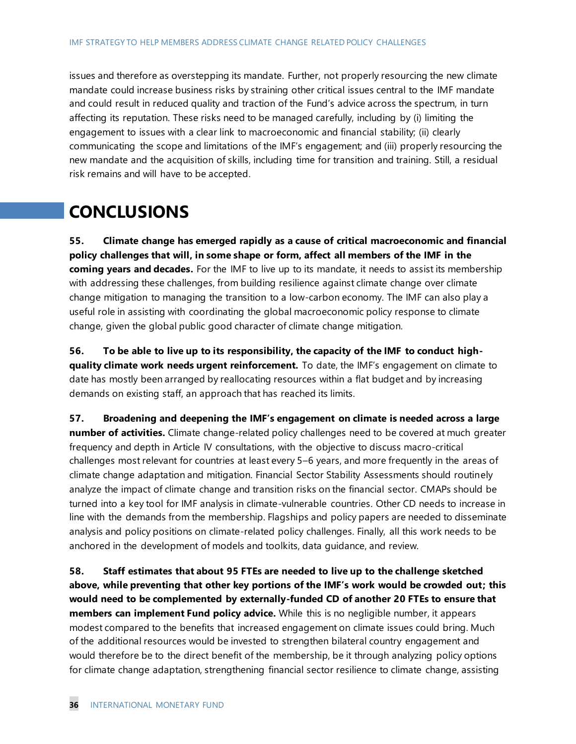issues and therefore as overstepping its mandate. Further, not properly resourcing the new climate mandate could increase business risks by straining other critical issues central to the IMF mandate and could result in reduced quality and traction of the Fund's advice across the spectrum, in turn affecting its reputation. These risks need to be managed carefully, including by (i) limiting the engagement to issues with a clear link to macroeconomic and financial stability; (ii) clearly communicating the scope and limitations of the IMF's engagement; and (iii) properly resourcing the new mandate and the acquisition of skills, including time for transition and training. Still, a residual risk remains and will have to be accepted.

## **CONCLUSIONS**

**55. Climate change has emerged rapidly as a cause of critical macroeconomic and financial policy challenges that will, in some shape or form, affect all members of the IMF in the coming years and decades.** For the IMF to live up to its mandate, it needs to assist its membership with addressing these challenges, from building resilience against climate change over climate change mitigation to managing the transition to a low-carbon economy. The IMF can also play a useful role in assisting with coordinating the global macroeconomic policy response to climate change, given the global public good character of climate change mitigation.

**56. To be able to live up to its responsibility, the capacity of the IMF to conduct highquality climate work needs urgent reinforcement.** To date, the IMF's engagement on climate to date has mostly been arranged by reallocating resources within a flat budget and by increasing demands on existing staff, an approach that has reached its limits.

**57. Broadening and deepening the IMF's engagement on climate is needed across a large number of activities.** Climate change-related policy challenges need to be covered at much greater frequency and depth in Article IV consultations, with the objective to discuss macro-critical challenges most relevant for countries at least every 5–6 years, and more frequently in the areas of climate change adaptation and mitigation. Financial Sector Stability Assessments should routinely analyze the impact of climate change and transition risks on the financial sector. CMAPs should be turned into a key tool for IMF analysis in climate-vulnerable countries. Other CD needs to increase in line with the demands from the membership. Flagships and policy papers are needed to disseminate analysis and policy positions on climate-related policy challenges. Finally, all this work needs to be anchored in the development of models and toolkits, data guidance, and review.

**58. Staff estimates that about 95 FTEs are needed to live up to the challenge sketched above, while preventing that other key portions of the IMF's work would be crowded out; this would need to be complemented by externally-funded CD of another 20 FTEs to ensure that members can implement Fund policy advice.** While this is no negligible number, it appears modest compared to the benefits that increased engagement on climate issues could bring. Much of the additional resources would be invested to strengthen bilateral country engagement and would therefore be to the direct benefit of the membership, be it through analyzing policy options for climate change adaptation, strengthening financial sector resilience to climate change, assisting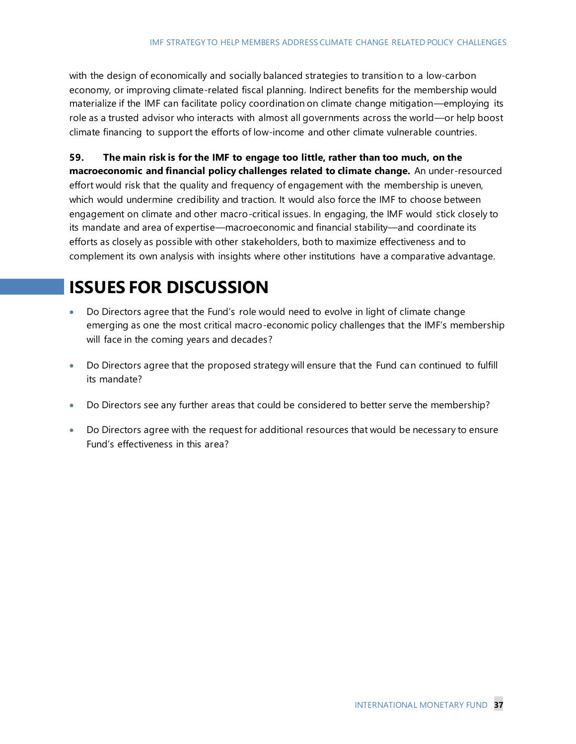with the design of economically and socially balanced strategies to transition to a low-carbon economy, or improving climate-related fiscal planning. Indirect benefits for the membership would materialize if the IMF can facilitate policy coordination on climate change mitigation—employing its role as a trusted advisor who interacts with almost all governments across the world—or help boost climate financing to support the efforts of low-income and other climate vulnerable countries.

**59. The main risk is for the IMF to engage too little, rather than too much, on the macroeconomic and financial policy challenges related to climate change.** An under-resourced effort would risk that the quality and frequency of engagement with the membership is uneven, which would undermine credibility and traction. It would also force the IMF to choose between engagement on climate and other macro-critical issues. In engaging, the IMF would stick closely to its mandate and area of expertise—macroeconomic and financial stability—and coordinate its efforts as closely as possible with other stakeholders, both to maximize effectiveness and to complement its own analysis with insights where other institutions have a comparative advantage.

## **ISSUES FOR DISCUSSION**

- Do Directors agree that the Fund's role would need to evolve in light of climate change emerging as one the most critical macro-economic policy challenges that the IMF's membership will face in the coming years and decades?
- Do Directors agree that the proposed strategy will ensure that the Fund can continued to fulfill its mandate?
- Do Directors see any further areas that could be considered to better serve the membership?
- Do Directors agree with the request for additional resources that would be necessary to ensure Fund's effectiveness in this area?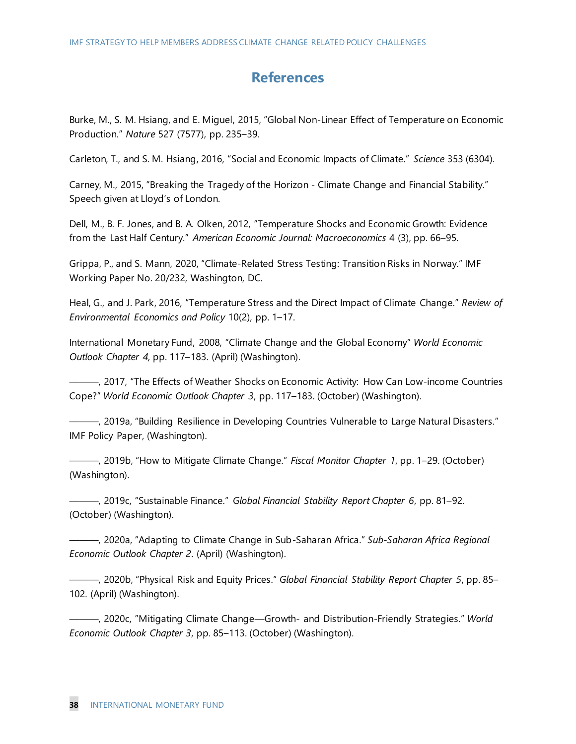## **References**

Burke, M., S. M. Hsiang, and E. Miguel, 2015, "Global Non-Linear Effect of Temperature on Economic Production." *Nature* 527 (7577), pp. 235–39.

Carleton, T., and S. M. Hsiang, 2016, "Social and Economic Impacts of Climate." *Science* 353 (6304).

Carney, M., 2015, "Breaking the Tragedy of the Horizon - Climate Change and Financial Stability." Speech given at Lloyd's of London.

Dell, M., B. F. Jones, and B. A. Olken, 2012, "Temperature Shocks and Economic Growth: Evidence from the Last Half Century." *American Economic Journal: Macroeconomics* 4 (3), pp. 66–95.

Grippa, P., and S. Mann, 2020, "Climate-Related Stress Testing: Transition Risks in Norway." IMF Working Paper No. 20/232, Washington, DC.

Heal, G., and J. Park, 2016, "Temperature Stress and the Direct Impact of Climate Change." *Review of Environmental Economics and Policy* 10(2), pp. 1–17.

International Monetary Fund, 2008, "Climate Change and the Global Economy" *World Economic Outlook Chapter 4,* pp. 117–183. (April) (Washington).

———, 2017, "The Effects of Weather Shocks on Economic Activity: How Can Low-income Countries Cope?" *World Economic Outlook Chapter 3*, pp. 117–183. (October) (Washington).

———, 2019a, "Building Resilience in Developing Countries Vulnerable to Large Natural Disasters." IMF Policy Paper, (Washington).

———, 2019b, "How to Mitigate Climate Change." *Fiscal Monitor Chapter 1*, pp. 1–29. (October) (Washington).

———, 2019c, "Sustainable Finance." *Global Financial Stability Report Chapter 6*, pp. 81–92. (October) (Washington).

———, 2020a, "Adapting to Climate Change in Sub-Saharan Africa." *Sub-Saharan Africa Regional Economic Outlook Chapter 2*. (April) (Washington).

———, 2020b, "Physical Risk and Equity Prices." *Global Financial Stability Report Chapter 5*, pp. 85– 102. (April) (Washington).

———, 2020c, "Mitigating Climate Change—Growth- and Distribution-Friendly Strategies." *World Economic Outlook Chapter 3*, pp. 85–113. (October) (Washington).